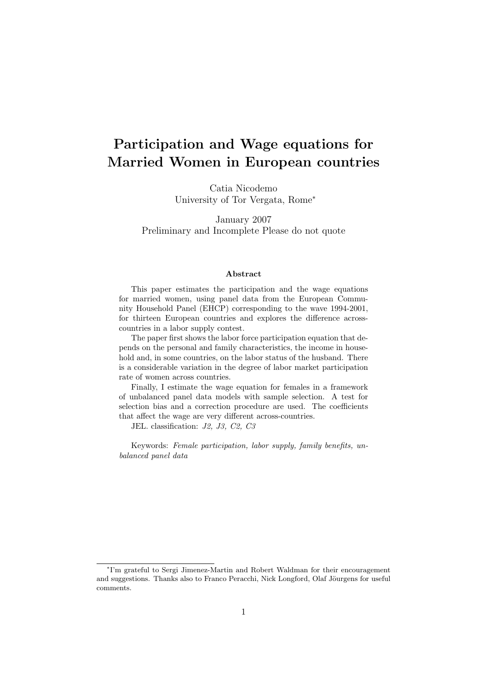# Participation and Wage equations for Married Women in European countries

Catia Nicodemo University of Tor Vergata, Rome<sup>∗</sup>

January 2007 Preliminary and Incomplete Please do not quote

### Abstract

This paper estimates the participation and the wage equations for married women, using panel data from the European Community Household Panel (EHCP) corresponding to the wave 1994-2001, for thirteen European countries and explores the difference acrosscountries in a labor supply contest.

The paper first shows the labor force participation equation that depends on the personal and family characteristics, the income in household and, in some countries, on the labor status of the husband. There is a considerable variation in the degree of labor market participation rate of women across countries.

Finally, I estimate the wage equation for females in a framework of unbalanced panel data models with sample selection. A test for selection bias and a correction procedure are used. The coefficients that affect the wage are very different across-countries.

JEL. classification: J2, J3, C2, C3

Keywords: Female participation, labor supply, family benefits, unbalanced panel data

<sup>∗</sup> I'm grateful to Sergi Jimenez-Martin and Robert Waldman for their encouragement and suggestions. Thanks also to Franco Peracchi, Nick Longford, Olaf Jöurgens for useful comments.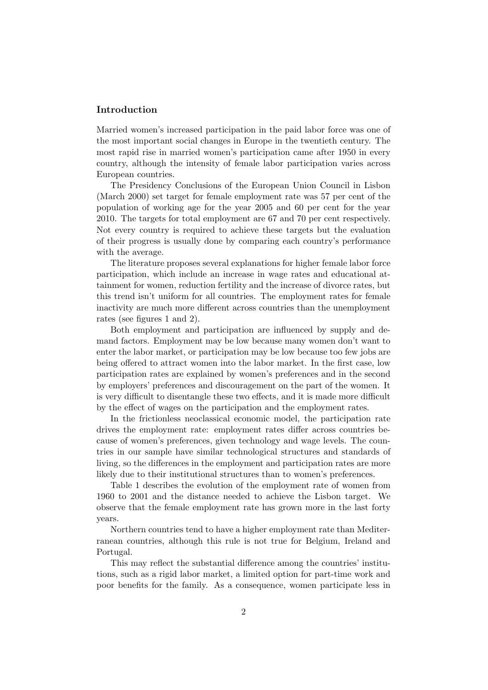## Introduction

Married women's increased participation in the paid labor force was one of the most important social changes in Europe in the twentieth century. The most rapid rise in married women's participation came after 1950 in every country, although the intensity of female labor participation varies across European countries.

The Presidency Conclusions of the European Union Council in Lisbon (March 2000) set target for female employment rate was 57 per cent of the population of working age for the year 2005 and 60 per cent for the year 2010. The targets for total employment are 67 and 70 per cent respectively. Not every country is required to achieve these targets but the evaluation of their progress is usually done by comparing each country's performance with the average.

The literature proposes several explanations for higher female labor force participation, which include an increase in wage rates and educational attainment for women, reduction fertility and the increase of divorce rates, but this trend isn't uniform for all countries. The employment rates for female inactivity are much more different across countries than the unemployment rates (see figures 1 and 2).

Both employment and participation are influenced by supply and demand factors. Employment may be low because many women don't want to enter the labor market, or participation may be low because too few jobs are being offered to attract women into the labor market. In the first case, low participation rates are explained by women's preferences and in the second by employers' preferences and discouragement on the part of the women. It is very difficult to disentangle these two effects, and it is made more difficult by the effect of wages on the participation and the employment rates.

In the frictionless neoclassical economic model, the participation rate drives the employment rate: employment rates differ across countries because of women's preferences, given technology and wage levels. The countries in our sample have similar technological structures and standards of living, so the differences in the employment and participation rates are more likely due to their institutional structures than to women's preferences.

Table 1 describes the evolution of the employment rate of women from 1960 to 2001 and the distance needed to achieve the Lisbon target. We observe that the female employment rate has grown more in the last forty years.

Northern countries tend to have a higher employment rate than Mediterranean countries, although this rule is not true for Belgium, Ireland and Portugal.

This may reflect the substantial difference among the countries' institutions, such as a rigid labor market, a limited option for part-time work and poor benefits for the family. As a consequence, women participate less in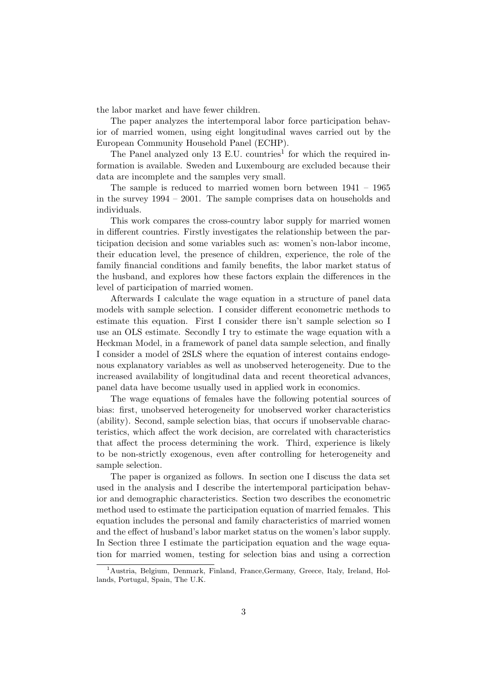the labor market and have fewer children.

The paper analyzes the intertemporal labor force participation behavior of married women, using eight longitudinal waves carried out by the European Community Household Panel (ECHP).

The Panel analyzed only  $13$  E.U. countries<sup>1</sup> for which the required information is available. Sweden and Luxembourg are excluded because their data are incomplete and the samples very small.

The sample is reduced to married women born between 1941 – 1965 in the survey 1994 – 2001. The sample comprises data on households and individuals.

This work compares the cross-country labor supply for married women in different countries. Firstly investigates the relationship between the participation decision and some variables such as: women's non-labor income, their education level, the presence of children, experience, the role of the family financial conditions and family benefits, the labor market status of the husband, and explores how these factors explain the differences in the level of participation of married women.

Afterwards I calculate the wage equation in a structure of panel data models with sample selection. I consider different econometric methods to estimate this equation. First I consider there isn't sample selection so I use an OLS estimate. Secondly I try to estimate the wage equation with a Heckman Model, in a framework of panel data sample selection, and finally I consider a model of 2SLS where the equation of interest contains endogenous explanatory variables as well as unobserved heterogeneity. Due to the increased availability of longitudinal data and recent theoretical advances, panel data have become usually used in applied work in economics.

The wage equations of females have the following potential sources of bias: first, unobserved heterogeneity for unobserved worker characteristics (ability). Second, sample selection bias, that occurs if unobservable characteristics, which affect the work decision, are correlated with characteristics that affect the process determining the work. Third, experience is likely to be non-strictly exogenous, even after controlling for heterogeneity and sample selection.

The paper is organized as follows. In section one I discuss the data set used in the analysis and I describe the intertemporal participation behavior and demographic characteristics. Section two describes the econometric method used to estimate the participation equation of married females. This equation includes the personal and family characteristics of married women and the effect of husband's labor market status on the women's labor supply. In Section three I estimate the participation equation and the wage equation for married women, testing for selection bias and using a correction

<sup>&</sup>lt;sup>1</sup>Austria, Belgium, Denmark, Finland, France, Germany, Greece, Italy, Ireland, Hollands, Portugal, Spain, The U.K.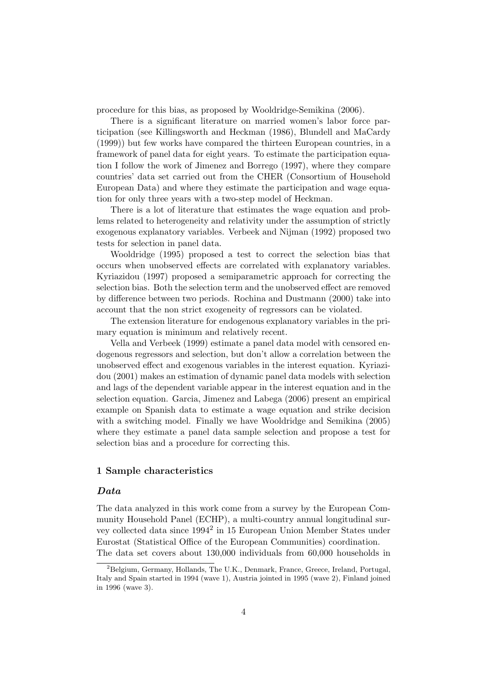procedure for this bias, as proposed by Wooldridge-Semikina (2006).

There is a significant literature on married women's labor force participation (see Killingsworth and Heckman (1986), Blundell and MaCardy (1999)) but few works have compared the thirteen European countries, in a framework of panel data for eight years. To estimate the participation equation I follow the work of Jimenez and Borrego (1997), where they compare countries' data set carried out from the CHER (Consortium of Household European Data) and where they estimate the participation and wage equation for only three years with a two-step model of Heckman.

There is a lot of literature that estimates the wage equation and problems related to heterogeneity and relativity under the assumption of strictly exogenous explanatory variables. Verbeek and Nijman (1992) proposed two tests for selection in panel data.

Wooldridge (1995) proposed a test to correct the selection bias that occurs when unobserved effects are correlated with explanatory variables. Kyriazidou (1997) proposed a semiparametric approach for correcting the selection bias. Both the selection term and the unobserved effect are removed by difference between two periods. Rochina and Dustmann (2000) take into account that the non strict exogeneity of regressors can be violated.

The extension literature for endogenous explanatory variables in the primary equation is minimum and relatively recent.

Vella and Verbeek (1999) estimate a panel data model with censored endogenous regressors and selection, but don't allow a correlation between the unobserved effect and exogenous variables in the interest equation. Kyriazidou (2001) makes an estimation of dynamic panel data models with selection and lags of the dependent variable appear in the interest equation and in the selection equation. Garcia, Jimenez and Labega (2006) present an empirical example on Spanish data to estimate a wage equation and strike decision with a switching model. Finally we have Wooldridge and Semikina (2005) where they estimate a panel data sample selection and propose a test for selection bias and a procedure for correcting this.

# 1 Sample characteristics

# Data

The data analyzed in this work come from a survey by the European Community Household Panel (ECHP), a multi-country annual longitudinal survey collected data since 1994<sup>2</sup> in 15 European Union Member States under Eurostat (Statistical Office of the European Communities) coordination. The data set covers about 130,000 individuals from 60,000 households in

<sup>&</sup>lt;sup>2</sup>Belgium, Germany, Hollands, The U.K., Denmark, France, Greece, Ireland, Portugal, Italy and Spain started in 1994 (wave 1), Austria jointed in 1995 (wave 2), Finland joined in 1996 (wave 3).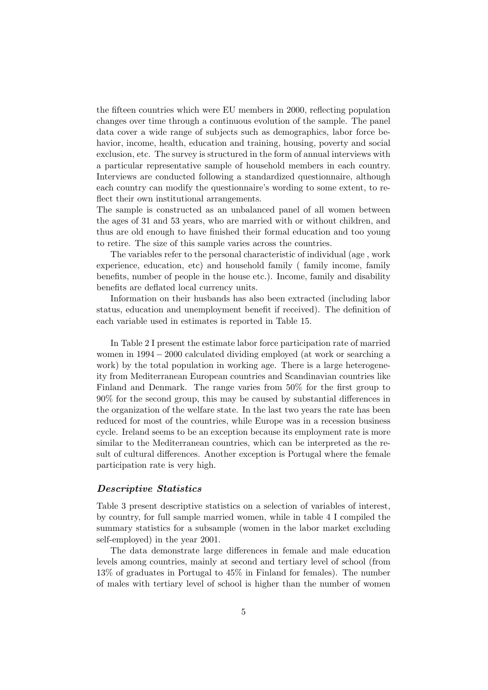the fifteen countries which were EU members in 2000, reflecting population changes over time through a continuous evolution of the sample. The panel data cover a wide range of subjects such as demographics, labor force behavior, income, health, education and training, housing, poverty and social exclusion, etc. The survey is structured in the form of annual interviews with a particular representative sample of household members in each country. Interviews are conducted following a standardized questionnaire, although each country can modify the questionnaire's wording to some extent, to reflect their own institutional arrangements.

The sample is constructed as an unbalanced panel of all women between the ages of 31 and 53 years, who are married with or without children, and thus are old enough to have finished their formal education and too young to retire. The size of this sample varies across the countries.

The variables refer to the personal characteristic of individual (age , work experience, education, etc) and household family ( family income, family benefits, number of people in the house etc.). Income, family and disability benefits are deflated local currency units.

Information on their husbands has also been extracted (including labor status, education and unemployment benefit if received). The definition of each variable used in estimates is reported in Table 15.

In Table 2 I present the estimate labor force participation rate of married women in 1994 − 2000 calculated dividing employed (at work or searching a work) by the total population in working age. There is a large heterogeneity from Mediterranean European countries and Scandinavian countries like Finland and Denmark. The range varies from 50% for the first group to 90% for the second group, this may be caused by substantial differences in the organization of the welfare state. In the last two years the rate has been reduced for most of the countries, while Europe was in a recession business cycle. Ireland seems to be an exception because its employment rate is more similar to the Mediterranean countries, which can be interpreted as the result of cultural differences. Another exception is Portugal where the female participation rate is very high.

#### Descriptive Statistics

Table 3 present descriptive statistics on a selection of variables of interest, by country, for full sample married women, while in table 4 I compiled the summary statistics for a subsample (women in the labor market excluding self-employed) in the year 2001.

The data demonstrate large differences in female and male education levels among countries, mainly at second and tertiary level of school (from 13% of graduates in Portugal to 45% in Finland for females). The number of males with tertiary level of school is higher than the number of women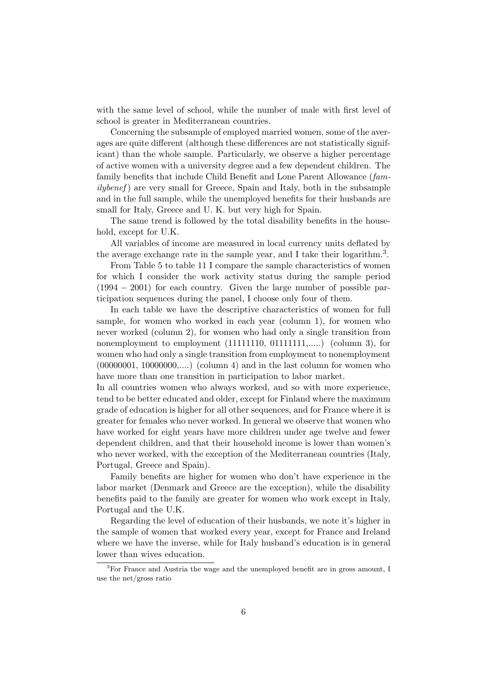with the same level of school, while the number of male with first level of school is greater in Mediterranean countries.

Concerning the subsample of employed married women, some of the averages are quite different (although these differences are not statistically significant) than the whole sample. Particularly, we observe a higher percentage of active women with a university degree and a few dependent children. The family benefits that include Child Benefit and Lone Parent Allowance (fam $ily benefit$ ) are very small for Greece, Spain and Italy, both in the subsample and in the full sample, while the unemployed benefits for their husbands are small for Italy, Greece and U. K. but very high for Spain.

The same trend is followed by the total disability benefits in the household, except for U.K.

All variables of income are measured in local currency units deflated by the average exchange rate in the sample year, and I take their logarithm.<sup>3</sup>.

From Table 5 to table 11 I compare the sample characteristics of women for which I consider the work activity status during the sample period (1994 − 2001) for each country. Given the large number of possible participation sequences during the panel, I choose only four of them.

In each table we have the descriptive characteristics of women for full sample, for women who worked in each year (column 1), for women who never worked (column 2), for women who had only a single transition from nonemployment to employment (11111110, 01111111,.....) (column 3), for women who had only a single transition from employment to nonemployment  $(00000001, 10000000,...)$  (column 4) and in the last column for women who have more than one transition in participation to labor market.

In all countries women who always worked, and so with more experience, tend to be better educated and older, except for Finland where the maximum grade of education is higher for all other sequences, and for France where it is greater for females who never worked. In general we observe that women who have worked for eight years have more children under age twelve and fewer dependent children, and that their household income is lower than women's who never worked, with the exception of the Mediterranean countries (Italy, Portugal, Greece and Spain).

Family benefits are higher for women who don't have experience in the labor market (Denmark and Greece are the exception), while the disability benefits paid to the family are greater for women who work except in Italy, Portugal and the U.K.

Regarding the level of education of their husbands, we note it's higher in the sample of women that worked every year, except for France and Ireland where we have the inverse, while for Italy husband's education is in general lower than wives education.

<sup>&</sup>lt;sup>3</sup>For France and Austria the wage and the unemployed benefit are in gross amount, I use the net/gross ratio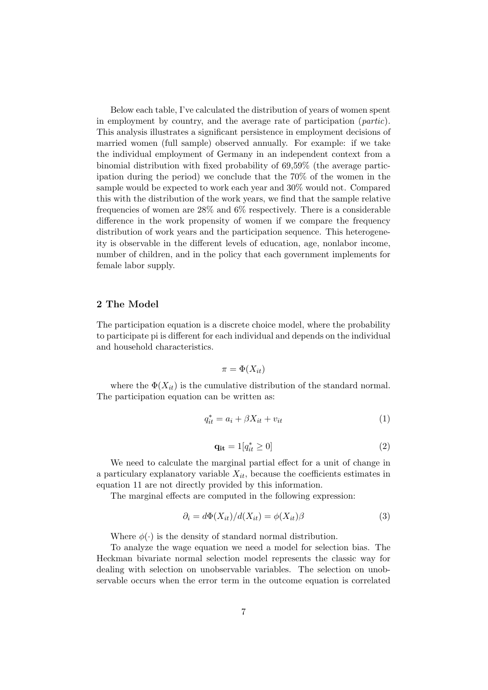Below each table, I've calculated the distribution of years of women spent in employment by country, and the average rate of participation  $(partic)$ . This analysis illustrates a significant persistence in employment decisions of married women (full sample) observed annually. For example: if we take the individual employment of Germany in an independent context from a binomial distribution with fixed probability of 69,59% (the average participation during the period) we conclude that the 70% of the women in the sample would be expected to work each year and 30% would not. Compared this with the distribution of the work years, we find that the sample relative frequencies of women are 28% and 6% respectively. There is a considerable difference in the work propensity of women if we compare the frequency distribution of work years and the participation sequence. This heterogeneity is observable in the different levels of education, age, nonlabor income, number of children, and in the policy that each government implements for female labor supply.

#### 2 The Model

The participation equation is a discrete choice model, where the probability to participate pi is different for each individual and depends on the individual and household characteristics.

$$
\pi = \Phi(X_{it})
$$

where the  $\Phi(X_{it})$  is the cumulative distribution of the standard normal. The participation equation can be written as:

$$
q_{it}^* = a_i + \beta X_{it} + v_{it} \tag{1}
$$

$$
\mathbf{q_{it}} = 1[q_{it}^* \ge 0] \tag{2}
$$

We need to calculate the marginal partial effect for a unit of change in a particulary explanatory variable  $X_{it}$ , because the coefficients estimates in equation 11 are not directly provided by this information.

The marginal effects are computed in the following expression:

$$
\partial_i = d\Phi(X_{it})/d(X_{it}) = \phi(X_{it})\beta \tag{3}
$$

Where  $\phi(\cdot)$  is the density of standard normal distribution.

To analyze the wage equation we need a model for selection bias. The Heckman bivariate normal selection model represents the classic way for dealing with selection on unobservable variables. The selection on unobservable occurs when the error term in the outcome equation is correlated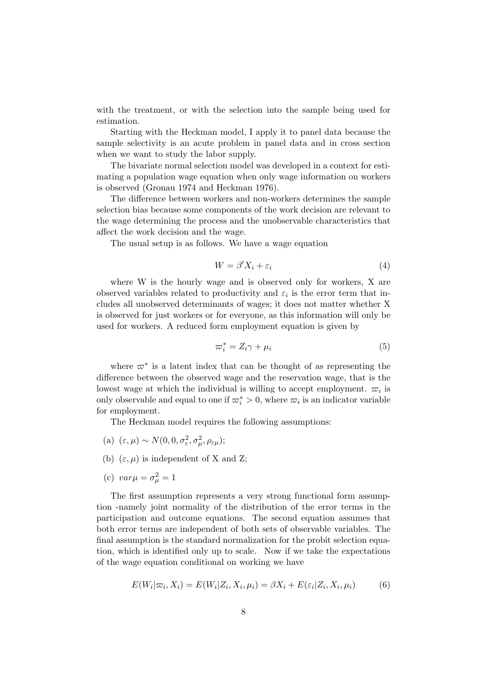with the treatment, or with the selection into the sample being used for estimation.

Starting with the Heckman model, I apply it to panel data because the sample selectivity is an acute problem in panel data and in cross section when we want to study the labor supply.

The bivariate normal selection model was developed in a context for estimating a population wage equation when only wage information on workers is observed (Gronau 1974 and Heckman 1976).

The difference between workers and non-workers determines the sample selection bias because some components of the work decision are relevant to the wage determining the process and the unobservable characteristics that affect the work decision and the wage.

The usual setup is as follows. We have a wage equation

$$
W = \beta' X_i + \varepsilon_i \tag{4}
$$

where W is the hourly wage and is observed only for workers, X are observed variables related to productivity and  $\varepsilon_i$  is the error term that includes all unobserved determinants of wages; it does not matter whether X is observed for just workers or for everyone, as this information will only be used for workers. A reduced form employment equation is given by

$$
\varpi_i^* = Z_i \gamma + \mu_i \tag{5}
$$

where  $\varpi^*$  is a latent index that can be thought of as representing the difference between the observed wage and the reservation wage, that is the lowest wage at which the individual is willing to accept employment.  $\varpi_i$  is only observable and equal to one if  $\varpi_i^* > 0$ , where  $\varpi_i$  is an indicator variable for employment.

The Heckman model requires the following assumptions:

- (a)  $(\varepsilon, \mu) \sim N(0, 0, \sigma_{\varepsilon}^2, \sigma_{\mu}^2, \rho_{\varepsilon\mu});$
- (b)  $(\varepsilon, \mu)$  is independent of X and Z;
- (c)  $var\mu = \sigma_{\mu}^2 = 1$

The first assumption represents a very strong functional form assumption -namely joint normality of the distribution of the error terms in the participation and outcome equations. The second equation assumes that both error terms are independent of both sets of observable variables. The final assumption is the standard normalization for the probit selection equation, which is identified only up to scale. Now if we take the expectations of the wage equation conditional on working we have

$$
E(W_i|\varpi_i, X_i) = E(W_i|Z_i, X_i, \mu_i) = \beta X_i + E(\varepsilon_i|Z_i, X_i, \mu_i)
$$
(6)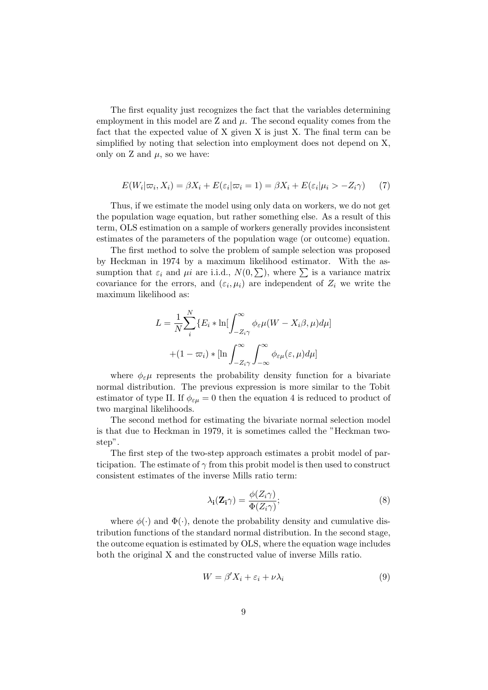The first equality just recognizes the fact that the variables determining employment in this model are  $Z$  and  $\mu$ . The second equality comes from the fact that the expected value of X given X is just X. The final term can be simplified by noting that selection into employment does not depend on X, only on Z and  $\mu$ , so we have:

$$
E(W_i|\varpi_i, X_i) = \beta X_i + E(\varepsilon_i|\varpi_i = 1) = \beta X_i + E(\varepsilon_i|\mu_i > -Z_i\gamma)
$$
 (7)

Thus, if we estimate the model using only data on workers, we do not get the population wage equation, but rather something else. As a result of this term, OLS estimation on a sample of workers generally provides inconsistent estimates of the parameters of the population wage (or outcome) equation.

The first method to solve the problem of sample selection was proposed by Heckman in 1974 by a maximum likelihood estimator. With the assumption that  $\varepsilon_i$  and  $\mu i$  are i.i.d.,  $N(0, \sum)$ , where  $\Sigma$  is a variance matrix covariance for the errors, and  $(\varepsilon_i, \mu_i)$  are independent of  $Z_i$  we write the maximum likelihood as:

$$
L = \frac{1}{N} \sum_{i}^{N} \{ E_i * \ln[\int_{-Z_i \gamma}^{\infty} \phi_{\varepsilon} \mu(W - X_i \beta, \mu) d\mu]
$$

$$
+ (1 - \varpi_i) * [\ln \int_{-Z_i \gamma}^{\infty} \int_{-\infty}^{\infty} \phi_{\varepsilon} \mu(\varepsilon, \mu) d\mu]
$$

where  $\phi_{\varepsilon}\mu$  represents the probability density function for a bivariate normal distribution. The previous expression is more similar to the Tobit estimator of type II. If  $\phi_{\varepsilon\mu} = 0$  then the equation 4 is reduced to product of two marginal likelihoods.

The second method for estimating the bivariate normal selection model is that due to Heckman in 1979, it is sometimes called the "Heckman twostep".

The first step of the two-step approach estimates a probit model of participation. The estimate of  $\gamma$  from this probit model is then used to construct consistent estimates of the inverse Mills ratio term:

$$
\lambda_{\mathbf{i}}(\mathbf{Z}_{\mathbf{i}}\gamma) = \frac{\phi(Z_i\gamma)}{\Phi(Z_i\gamma)};
$$
\n(8)

where  $\phi(\cdot)$  and  $\Phi(\cdot)$ , denote the probability density and cumulative distribution functions of the standard normal distribution. In the second stage, the outcome equation is estimated by OLS, where the equation wage includes both the original X and the constructed value of inverse Mills ratio.

$$
W = \beta' X_i + \varepsilon_i + \nu \lambda_i \tag{9}
$$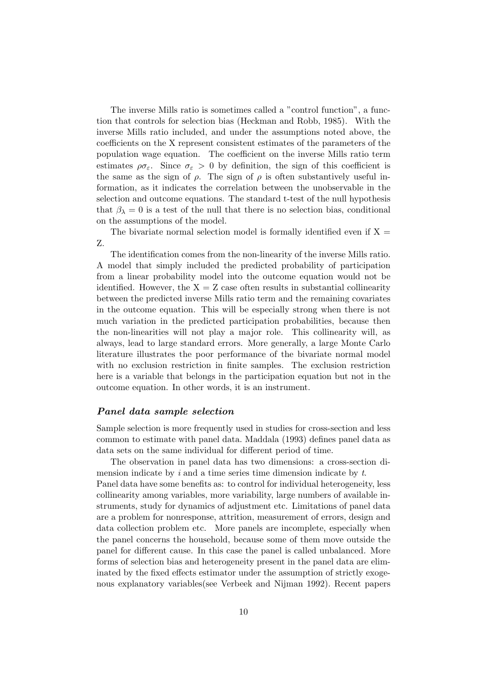The inverse Mills ratio is sometimes called a "control function", a function that controls for selection bias (Heckman and Robb, 1985). With the inverse Mills ratio included, and under the assumptions noted above, the coefficients on the X represent consistent estimates of the parameters of the population wage equation. The coefficient on the inverse Mills ratio term estimates  $\rho \sigma_{\varepsilon}$ . Since  $\sigma_{\varepsilon} > 0$  by definition, the sign of this coefficient is the same as the sign of  $\rho$ . The sign of  $\rho$  is often substantively useful information, as it indicates the correlation between the unobservable in the selection and outcome equations. The standard t-test of the null hypothesis that  $\beta_{\lambda} = 0$  is a test of the null that there is no selection bias, conditional on the assumptions of the model.

The bivariate normal selection model is formally identified even if  $X =$ Z.

The identification comes from the non-linearity of the inverse Mills ratio. A model that simply included the predicted probability of participation from a linear probability model into the outcome equation would not be identified. However, the  $X = Z$  case often results in substantial collinearity between the predicted inverse Mills ratio term and the remaining covariates in the outcome equation. This will be especially strong when there is not much variation in the predicted participation probabilities, because then the non-linearities will not play a major role. This collinearity will, as always, lead to large standard errors. More generally, a large Monte Carlo literature illustrates the poor performance of the bivariate normal model with no exclusion restriction in finite samples. The exclusion restriction here is a variable that belongs in the participation equation but not in the outcome equation. In other words, it is an instrument.

# Panel data sample selection

Sample selection is more frequently used in studies for cross-section and less common to estimate with panel data. Maddala (1993) defines panel data as data sets on the same individual for different period of time.

The observation in panel data has two dimensions: a cross-section dimension indicate by  $i$  and a time series time dimension indicate by  $t$ .

Panel data have some benefits as: to control for individual heterogeneity, less collinearity among variables, more variability, large numbers of available instruments, study for dynamics of adjustment etc. Limitations of panel data are a problem for nonresponse, attrition, measurement of errors, design and data collection problem etc. More panels are incomplete, especially when the panel concerns the household, because some of them move outside the panel for different cause. In this case the panel is called unbalanced. More forms of selection bias and heterogeneity present in the panel data are eliminated by the fixed effects estimator under the assumption of strictly exogenous explanatory variables(see Verbeek and Nijman 1992). Recent papers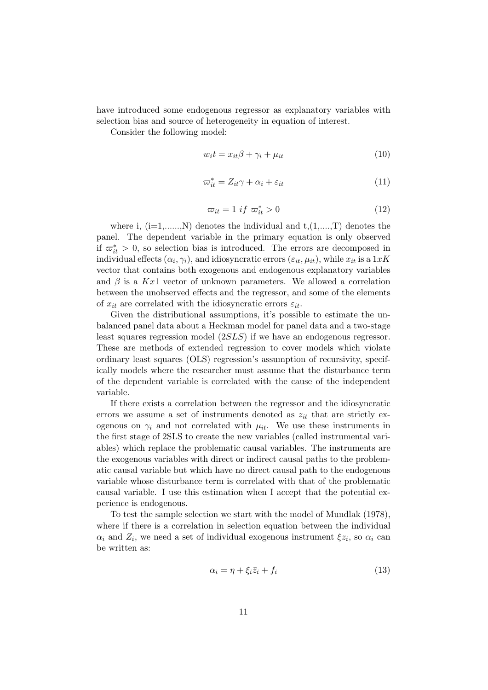have introduced some endogenous regressor as explanatory variables with selection bias and source of heterogeneity in equation of interest.

Consider the following model:

$$
w_i t = x_{it} \beta + \gamma_i + \mu_{it} \tag{10}
$$

$$
\varpi_{it}^* = Z_{it}\gamma + \alpha_i + \varepsilon_{it} \tag{11}
$$

$$
\varpi_{it} = 1 \text{ if } \varpi_{it}^* > 0 \tag{12}
$$

where i,  $(i=1,......,N)$  denotes the individual and  $t,(1,...,T)$  denotes the panel. The dependent variable in the primary equation is only observed if  $\overline{\omega}_{it}^* > 0$ , so selection bias is introduced. The errors are decomposed in individual effects  $(\alpha_i, \gamma_i)$ , and idiosyncratic errors  $(\varepsilon_{it}, \mu_{it})$ , while  $x_{it}$  is a  $1xK$ vector that contains both exogenous and endogenous explanatory variables and  $\beta$  is a Kx1 vector of unknown parameters. We allowed a correlation between the unobserved effects and the regressor, and some of the elements of  $x_{it}$  are correlated with the idiosyncratic errors  $\varepsilon_{it}$ .

Given the distributional assumptions, it's possible to estimate the unbalanced panel data about a Heckman model for panel data and a two-stage least squares regression model (2SLS) if we have an endogenous regressor. These are methods of extended regression to cover models which violate ordinary least squares (OLS) regression's assumption of recursivity, specifically models where the researcher must assume that the disturbance term of the dependent variable is correlated with the cause of the independent variable.

If there exists a correlation between the regressor and the idiosyncratic errors we assume a set of instruments denoted as  $z_{it}$  that are strictly exogenous on  $\gamma_i$  and not correlated with  $\mu_{it}$ . We use these instruments in the first stage of 2SLS to create the new variables (called instrumental variables) which replace the problematic causal variables. The instruments are the exogenous variables with direct or indirect causal paths to the problematic causal variable but which have no direct causal path to the endogenous variable whose disturbance term is correlated with that of the problematic causal variable. I use this estimation when I accept that the potential experience is endogenous.

To test the sample selection we start with the model of Mundlak (1978), where if there is a correlation in selection equation between the individual  $\alpha_i$  and  $Z_i$ , we need a set of individual exogenous instrument  $\xi z_i$ , so  $\alpha_i$  can be written as:

$$
\alpha_i = \eta + \xi_i \bar{z}_i + f_i \tag{13}
$$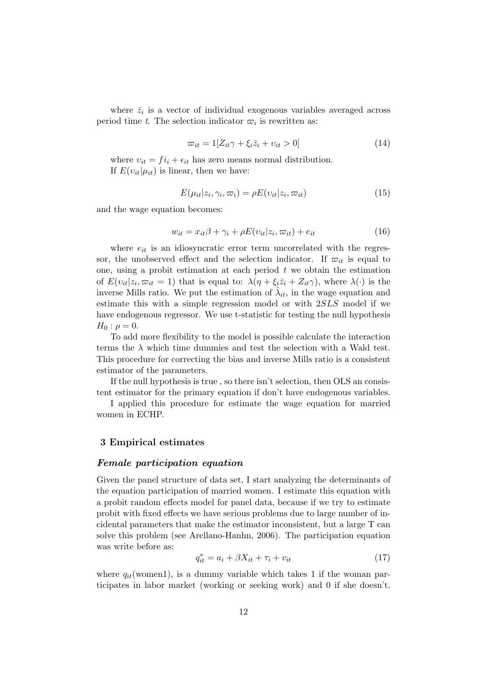where  $\bar{z}_i$  is a vector of individual exogenous variables averaged across period time t. The selection indicator  $\varpi_i$  is rewritten as:

$$
\varpi_{it} = 1[Z_{it}\gamma + \xi_i \bar{z}_i + v_{it} > 0] \tag{14}
$$

where  $v_{it} = f_i + \epsilon_{it}$  has zero means normal distribution. If  $E(v_{it}|\mu_{it})$  is linear, then we have:

$$
E(\mu_{it}|z_i, \gamma_i, \varpi_i) = \rho E(v_{it}|z_i, \varpi_{it})
$$
\n(15)

and the wage equation becomes:

$$
w_{it} = x_{it}\beta + \gamma_i + \rho E(v_{it}|z_i, \varpi_{it}) + e_{it}
$$
\n(16)

where  $e_{it}$  is an idiosyncratic error term uncorrelated with the regressor, the unobserved effect and the selection indicator. If  $\varpi_{it}$  is equal to one, using a probit estimation at each period  $t$  we obtain the estimation of  $E(v_{it}|z_i, \overline{\omega}_{it} = 1)$  that is equal to:  $\lambda(\eta + \xi_i \overline{z}_i + Z_{it}\gamma)$ , where  $\lambda(\cdot)$  is the inverse Mills ratio. We put the estimation of  $\hat{\lambda}_{it}$ , in the wage equation and estimate this with a simple regression model or with 2SLS model if we have endogenous regressor. We use t-statistic for testing the null hypothesis  $H_0$ :  $\rho = 0$ .

To add more flexibility to the model is possible calculate the interaction terms the  $\lambda$  which time dummies and test the selection with a Wald test. This procedure for correcting the bias and inverse Mills ratio is a consistent estimator of the parameters.

If the null hypothesis is true , so there isn't selection, then OLS an consistent estimator for the primary equation if don't have endogenous variables.

I applied this procedure for estimate the wage equation for married women in ECHP.

## 3 Empirical estimates

#### Female participation equation

Given the panel structure of data set, I start analyzing the determinants of the equation participation of married women. I estimate this equation with a probit random effects model for panel data, because if we try to estimate probit with fixed effects we have serious problems due to large number of incidental parameters that make the estimator inconsistent, but a large T can solve this problem (see Arellano-Hanhn, 2006). The participation equation was write before as:

$$
q_{it}^* = a_i + \beta X_{it} + \tau_i + v_{it}
$$
\n
$$
\tag{17}
$$

where  $q_{it}$ (women1), is a dummy variable which takes 1 if the woman participates in labor market (working or seeking work) and 0 if she doesn't.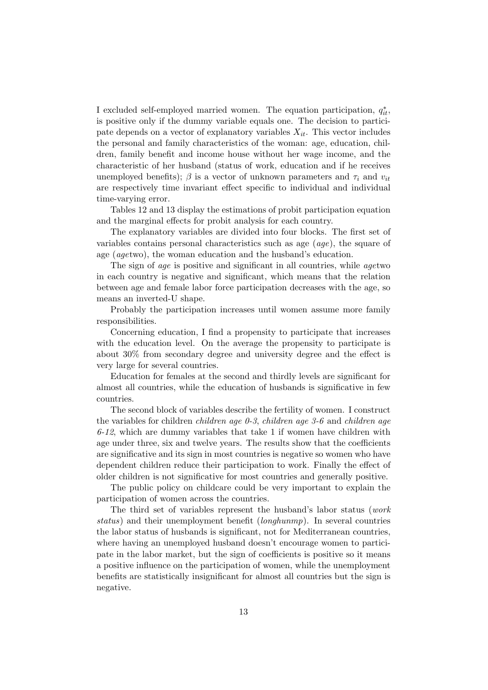I excluded self-employed married women. The equation participation,  $q_{it}^*$ , is positive only if the dummy variable equals one. The decision to participate depends on a vector of explanatory variables  $X_{it}$ . This vector includes the personal and family characteristics of the woman: age, education, children, family benefit and income house without her wage income, and the characteristic of her husband (status of work, education and if he receives unemployed benefits);  $\beta$  is a vector of unknown parameters and  $\tau_i$  and  $v_{it}$ are respectively time invariant effect specific to individual and individual time-varying error.

Tables 12 and 13 display the estimations of probit participation equation and the marginal effects for probit analysis for each country.

The explanatory variables are divided into four blocks. The first set of variables contains personal characteristics such as age (age), the square of age (agetwo), the woman education and the husband's education.

The sign of *age* is positive and significant in all countries, while *agetwo* in each country is negative and significant, which means that the relation between age and female labor force participation decreases with the age, so means an inverted-U shape.

Probably the participation increases until women assume more family responsibilities.

Concerning education, I find a propensity to participate that increases with the education level. On the average the propensity to participate is about 30% from secondary degree and university degree and the effect is very large for several countries.

Education for females at the second and thirdly levels are significant for almost all countries, while the education of husbands is significative in few countries.

The second block of variables describe the fertility of women. I construct the variables for children children age 0-3, children age 3-6 and children age  $6-12$ , which are dummy variables that take 1 if women have children with age under three, six and twelve years. The results show that the coefficients are significative and its sign in most countries is negative so women who have dependent children reduce their participation to work. Finally the effect of older children is not significative for most countries and generally positive.

The public policy on childcare could be very important to explain the participation of women across the countries.

The third set of variables represent the husband's labor status (work status) and their unemployment benefit (longhunmp). In several countries the labor status of husbands is significant, not for Mediterranean countries, where having an unemployed husband doesn't encourage women to participate in the labor market, but the sign of coefficients is positive so it means a positive influence on the participation of women, while the unemployment benefits are statistically insignificant for almost all countries but the sign is negative.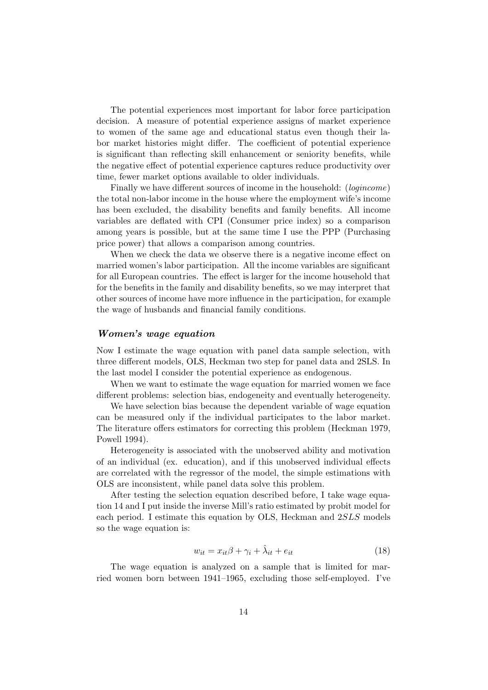The potential experiences most important for labor force participation decision. A measure of potential experience assigns of market experience to women of the same age and educational status even though their labor market histories might differ. The coefficient of potential experience is significant than reflecting skill enhancement or seniority benefits, while the negative effect of potential experience captures reduce productivity over time, fewer market options available to older individuals.

Finally we have different sources of income in the household: (*logincome*) the total non-labor income in the house where the employment wife's income has been excluded, the disability benefits and family benefits. All income variables are deflated with CPI (Consumer price index) so a comparison among years is possible, but at the same time I use the PPP (Purchasing price power) that allows a comparison among countries.

When we check the data we observe there is a negative income effect on married women's labor participation. All the income variables are significant for all European countries. The effect is larger for the income household that for the benefits in the family and disability benefits, so we may interpret that other sources of income have more influence in the participation, for example the wage of husbands and financial family conditions.

## Women's wage equation

Now I estimate the wage equation with panel data sample selection, with three different models, OLS, Heckman two step for panel data and 2SLS. In the last model I consider the potential experience as endogenous.

When we want to estimate the wage equation for married women we face different problems: selection bias, endogeneity and eventually heterogeneity.

We have selection bias because the dependent variable of wage equation can be measured only if the individual participates to the labor market. The literature offers estimators for correcting this problem (Heckman 1979, Powell 1994).

Heterogeneity is associated with the unobserved ability and motivation of an individual (ex. education), and if this unobserved individual effects are correlated with the regressor of the model, the simple estimations with OLS are inconsistent, while panel data solve this problem.

After testing the selection equation described before, I take wage equation 14 and I put inside the inverse Mill's ratio estimated by probit model for each period. I estimate this equation by OLS, Heckman and 2SLS models so the wage equation is:

$$
w_{it} = x_{it}\beta + \gamma_i + \hat{\lambda}_{it} + e_{it}
$$
\n(18)

The wage equation is analyzed on a sample that is limited for married women born between 1941–1965, excluding those self-employed. I've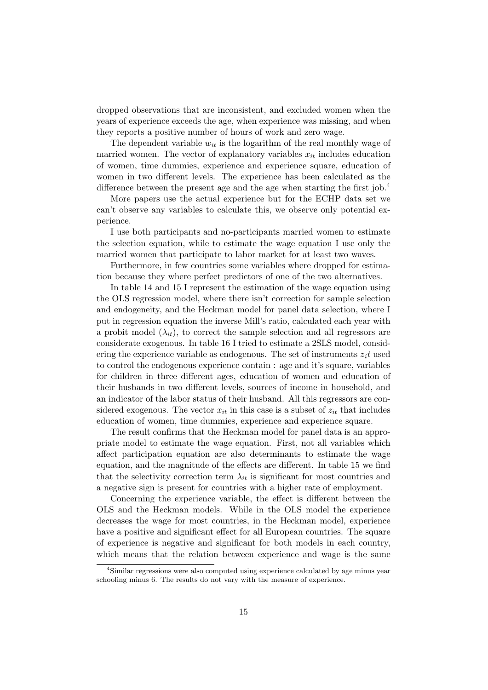dropped observations that are inconsistent, and excluded women when the years of experience exceeds the age, when experience was missing, and when they reports a positive number of hours of work and zero wage.

The dependent variable  $w_{it}$  is the logarithm of the real monthly wage of married women. The vector of explanatory variables  $x_{it}$  includes education of women, time dummies, experience and experience square, education of women in two different levels. The experience has been calculated as the difference between the present age and the age when starting the first job.<sup>4</sup>

More papers use the actual experience but for the ECHP data set we can't observe any variables to calculate this, we observe only potential experience.

I use both participants and no-participants married women to estimate the selection equation, while to estimate the wage equation I use only the married women that participate to labor market for at least two waves.

Furthermore, in few countries some variables where dropped for estimation because they where perfect predictors of one of the two alternatives.

In table 14 and 15 I represent the estimation of the wage equation using the OLS regression model, where there isn't correction for sample selection and endogeneity, and the Heckman model for panel data selection, where I put in regression equation the inverse Mill's ratio, calculated each year with a probit model  $(\lambda_{it})$ , to correct the sample selection and all regressors are considerate exogenous. In table 16 I tried to estimate a 2SLS model, considering the experience variable as endogenous. The set of instruments  $z_i t$  used to control the endogenous experience contain : age and it's square, variables for children in three different ages, education of women and education of their husbands in two different levels, sources of income in household, and an indicator of the labor status of their husband. All this regressors are considered exogenous. The vector  $x_{it}$  in this case is a subset of  $z_{it}$  that includes education of women, time dummies, experience and experience square.

The result confirms that the Heckman model for panel data is an appropriate model to estimate the wage equation. First, not all variables which affect participation equation are also determinants to estimate the wage equation, and the magnitude of the effects are different. In table 15 we find that the selectivity correction term  $\lambda_{it}$  is significant for most countries and a negative sign is present for countries with a higher rate of employment.

Concerning the experience variable, the effect is different between the OLS and the Heckman models. While in the OLS model the experience decreases the wage for most countries, in the Heckman model, experience have a positive and significant effect for all European countries. The square of experience is negative and significant for both models in each country, which means that the relation between experience and wage is the same

<sup>&</sup>lt;sup>4</sup>Similar regressions were also computed using experience calculated by age minus year schooling minus 6. The results do not vary with the measure of experience.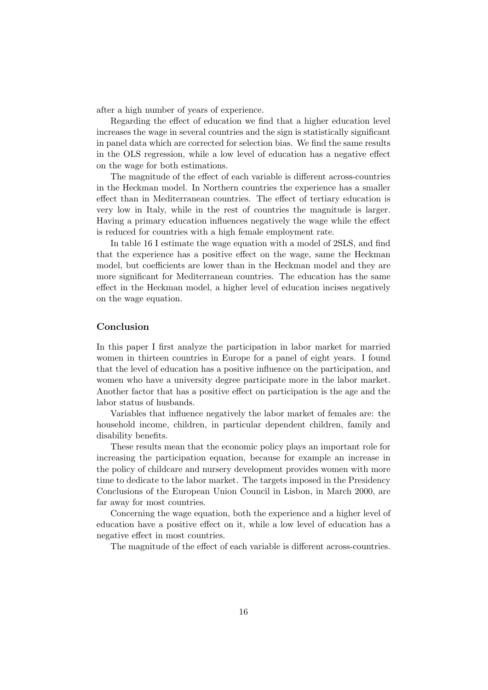after a high number of years of experience.

Regarding the effect of education we find that a higher education level increases the wage in several countries and the sign is statistically significant in panel data which are corrected for selection bias. We find the same results in the OLS regression, while a low level of education has a negative effect on the wage for both estimations.

The magnitude of the effect of each variable is different across-countries in the Heckman model. In Northern countries the experience has a smaller effect than in Mediterranean countries. The effect of tertiary education is very low in Italy, while in the rest of countries the magnitude is larger. Having a primary education influences negatively the wage while the effect is reduced for countries with a high female employment rate.

In table 16 I estimate the wage equation with a model of 2SLS, and find that the experience has a positive effect on the wage, same the Heckman model, but coefficients are lower than in the Heckman model and they are more significant for Mediterranean countries. The education has the same effect in the Heckman model, a higher level of education incises negatively on the wage equation.

# Conclusion

In this paper I first analyze the participation in labor market for married women in thirteen countries in Europe for a panel of eight years. I found that the level of education has a positive influence on the participation, and women who have a university degree participate more in the labor market. Another factor that has a positive effect on participation is the age and the labor status of husbands.

Variables that influence negatively the labor market of females are: the household income, children, in particular dependent children, family and disability benefits.

These results mean that the economic policy plays an important role for increasing the participation equation, because for example an increase in the policy of childcare and nursery development provides women with more time to dedicate to the labor market. The targets imposed in the Presidency Conclusions of the European Union Council in Lisbon, in March 2000, are far away for most countries.

Concerning the wage equation, both the experience and a higher level of education have a positive effect on it, while a low level of education has a negative effect in most countries.

The magnitude of the effect of each variable is different across-countries.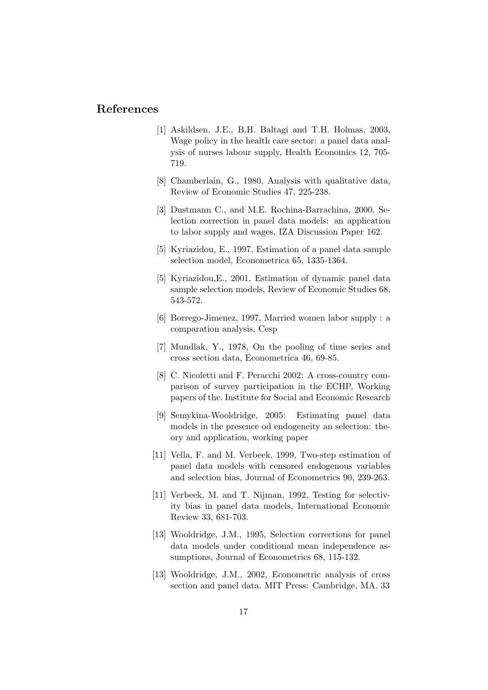# References

- [1] Askildsen, J.E., B.H. Baltagi and T.H. Holmas, 2003, Wage policy in the health care sector: a panel data analysis of nurses labour supply, Health Economics 12, 705- 719.
- [8] Chamberlain, G., 1980, Analysis with qualitative data, Review of Economic Studies 47, 225-238.
- [3] Dustmann C., and M.E. Rochina-Barrachina, 2000, Selection correction in panel data models: an application to labor supply and wages, IZA Discussion Paper 162.
- [5] Kyriazidou, E., 1997, Estimation of a panel data sample selection model, Econometrica 65, 1335-1364.
- [5] Kyriazidou,E., 2001, Estimation of dynamic panel data sample selection models, Review of Economic Studies 68, 543-572.
- [6] Borrego-Jimenez, 1997, Married women labor supply : a comparation analysis, Cesp
- [7] Mundlak, Y., 1978, On the pooling of time series and cross section data, Econometrica 46, 69-85.
- [8] C. Nicoletti and F. Peracchi 2002: A cross-country comparison of survey participation in the ECHP, Working papers of the. Institute for Social and Economic Research
- [9] Semykina-Wooldridge, 2005: Estimating panel data models in the presence od endogeneity an selection: theory and application, working paper
- [11] Vella, F. and M. Verbeek, 1999, Two-step estimation of panel data models with censored endogenous variables and selection bias, Journal of Econometrics 90, 239-263.
- [11] Verbeek, M. and T. Nijman, 1992, Testing for selectivity bias in panel data models, International Economic Review 33, 681-703.
- [13] Wooldridge, J.M., 1995, Selection corrections for panel data models under conditional mean independence assumptions, Journal of Econometrics 68, 115-132.
- [13] Wooldridge, J.M., 2002, Econometric analysis of cross section and panel data. MIT Press: Cambridge, MA. 33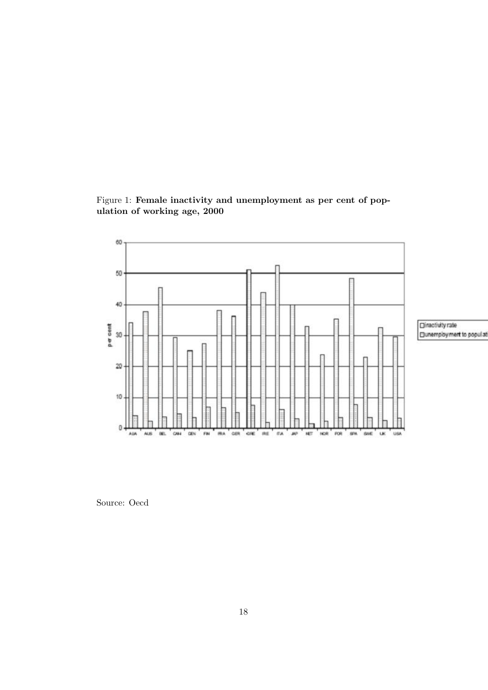Figure 1: Female inactivity and unemployment as per cent of population of working age, 2000



Directivity rate □unemployment to popul at

Source: Oecd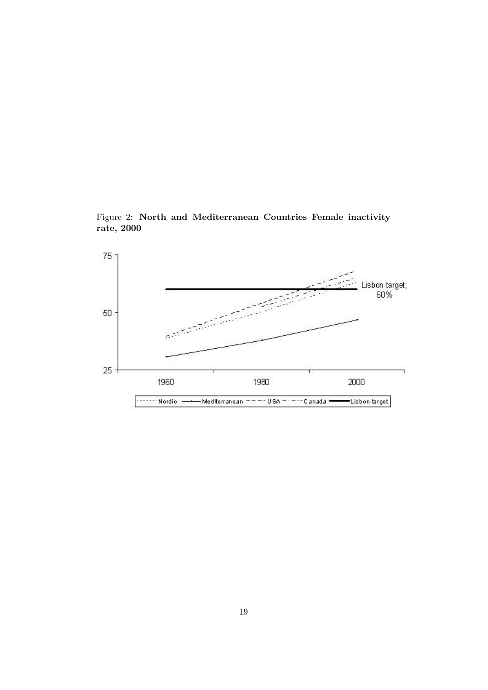Figure 2: North and Mediterranean Countries Female inactivity rate, 2000

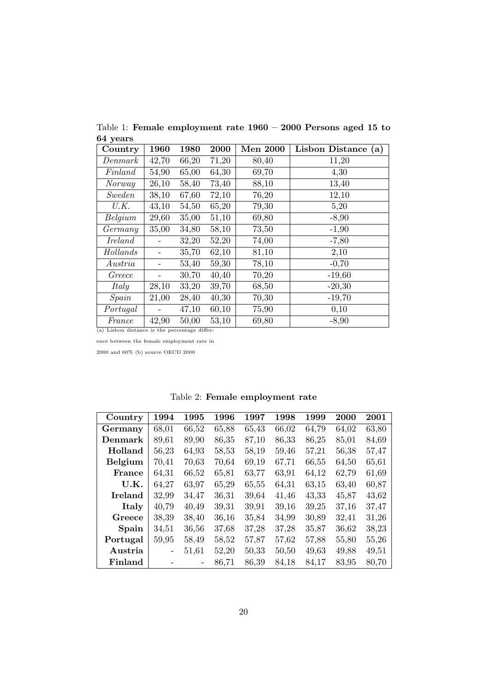|          | Table 1: Female employment rate $1960 - 2000$ Persons aged 15 to |  |  |  |  |
|----------|------------------------------------------------------------------|--|--|--|--|
| 64 years |                                                                  |  |  |  |  |

| Country                                       | 1960  | 1980  | 2000  | <b>Men 2000</b> | Lisbon Distance (a) |
|-----------------------------------------------|-------|-------|-------|-----------------|---------------------|
| Denmark                                       | 42,70 | 66,20 | 71,20 | 80,40           | 11,20               |
| Finland                                       | 54,90 | 65,00 | 64,30 | 69,70           | 4,30                |
| Norway                                        | 26,10 | 58,40 | 73,40 | 88,10           | 13,40               |
| Sweden                                        | 38,10 | 67,60 | 72,10 | 76,20           | 12,10               |
| U.K.                                          | 43,10 | 54,50 | 65,20 | 79,30           | 5,20                |
| Belgium                                       | 29,60 | 35,00 | 51,10 | 69,80           | $-8,90$             |
| Germany                                       | 35,00 | 34,80 | 58,10 | 73,50           | $-1,90$             |
| Ireland                                       |       | 32,20 | 52,20 | 74,00           | $-7,80$             |
| Hollands                                      |       | 35,70 | 62,10 | 81,10           | 2,10                |
| Austria                                       |       | 53,40 | 59,30 | 78,10           | $-0,70$             |
| Greece                                        |       | 30,70 | 40,40 | 70,20           | $-19,60$            |
| Italy                                         | 28,10 | 33,20 | 39,70 | 68,50           | $-20,30$            |
| $\mathit{Spin}$                               | 21,00 | 28,40 | 40,30 | 70,30           | $-19,70$            |
| Portugal                                      |       | 47,10 | 60,10 | 75,90           | 0,10                |
| France                                        | 42,90 | 50,00 | 53,10 | 69,80           | $-8,90$             |
| (a) Lisbon distance is the percentage differ- |       |       |       |                 |                     |

ence between the female employment rate in

2000 and 60% (b) source OECD 2000

| Country        | 1994  | 1995  | 1996  | 1997  | 1998  | 1999  | 2000  | 2001  |
|----------------|-------|-------|-------|-------|-------|-------|-------|-------|
| Germany        | 68,01 | 66,52 | 65,88 | 65,43 | 66,02 | 64,79 | 64,02 | 63,80 |
| Denmark        | 89,61 | 89,90 | 86,35 | 87,10 | 86,33 | 86,25 | 85,01 | 84,69 |
| Holland        | 56,23 | 64,93 | 58,53 | 58,19 | 59,46 | 57,21 | 56,38 | 57,47 |
| Belgium        | 70,41 | 70,63 | 70,64 | 69,19 | 67,71 | 66,55 | 64,50 | 65,61 |
| France         | 64,31 | 66,52 | 65,81 | 63,77 | 63,91 | 64,12 | 62,79 | 61,69 |
| U.K.           | 64,27 | 63,97 | 65,29 | 65,55 | 64,31 | 63,15 | 63,40 | 60,87 |
| <b>Ireland</b> | 32,99 | 34,47 | 36,31 | 39,64 | 41,46 | 43,33 | 45,87 | 43,62 |
| Italy          | 40,79 | 40,49 | 39,31 | 39,91 | 39,16 | 39,25 | 37,16 | 37,47 |
| Greece         | 38,39 | 38,40 | 36,16 | 35,84 | 34,99 | 30,89 | 32,41 | 31,26 |
| Spain          | 34,51 | 36,56 | 37,68 | 37,28 | 37,28 | 35,87 | 36,62 | 38,23 |
| Portugal       | 59,95 | 58,49 | 58,52 | 57,87 | 57,62 | 57,88 | 55,80 | 55,26 |
| Austria        | -     | 51,61 | 52,20 | 50,33 | 50,50 | 49,63 | 49,88 | 49,51 |
| Finland        |       |       | 86,71 | 86,39 | 84,18 | 84,17 | 83,95 | 80,70 |

Table 2: Female employment rate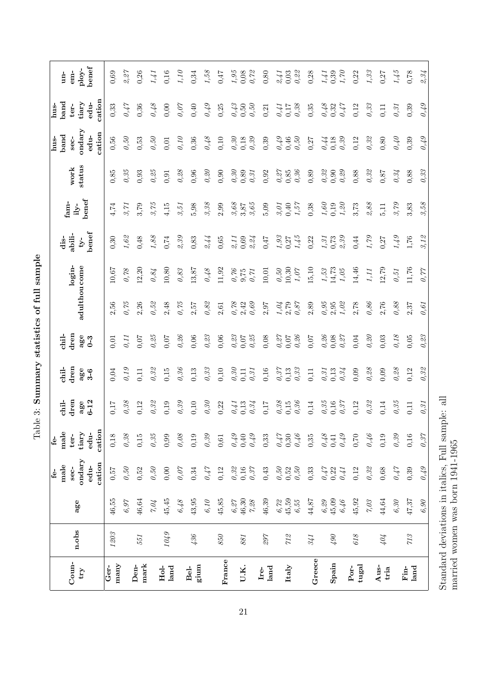| $_{\rm{Conn}}$<br>$\mathbf{t}$ ry | n.obs    | age                                                                     | ondary<br>male<br>sec-<br>$f_{\rm \acute{e}}$ .     | male<br>tiary<br>ter-<br>£.                         | dren<br>chil-<br>age                                | $_{\rm{tran}}$<br>age<br>$\frac{1}{2}$      | $_{\rm dren}$<br>age<br>chil-               | adulthou come                                       | login-                                               | abili-<br>dis-<br>$-y-$                                                      | benef<br>fam-<br>$i y$ -                            | status<br>${\bf work}$           | andary<br>band<br>hus-<br>sec- | band<br>tiary<br>ter-<br>aua<br>L                   | ploy-<br>$em-$<br>$\mathbf{u}$              |
|-----------------------------------|----------|-------------------------------------------------------------------------|-----------------------------------------------------|-----------------------------------------------------|-----------------------------------------------------|---------------------------------------------|---------------------------------------------|-----------------------------------------------------|------------------------------------------------------|------------------------------------------------------------------------------|-----------------------------------------------------|----------------------------------|--------------------------------|-----------------------------------------------------|---------------------------------------------|
|                                   |          |                                                                         | cation<br>edu-                                      | cation<br>edu-                                      | $6 - 12$                                            | $3-6$                                       | $0 - 3$                                     |                                                     |                                                      | benef                                                                        |                                                     |                                  | cation<br>edu-                 | cation<br>edu-                                      | $_{\rm benefit}$                            |
| many<br>Ger-                      | $1203\,$ | 46,55                                                                   | 0,57                                                | $0,18$                                              | 0,17                                                | 0,04                                        | 0,01                                        | 2,56                                                | 10,67                                                | 0,30                                                                         | 4,74                                                | 0,85                             | 0,56                           | 0,33                                                | 0,69                                        |
|                                   |          | $6.97\,$                                                                | $\theta,5\theta$                                    | $\theta, 38$                                        | $\theta{,}38$                                       | $\theta$ , 19                               | 0,11                                        | 0,75                                                | 0,78                                                 | 1,62                                                                         | 3,71                                                | 0,35                             | $\theta$ ,50                   | 0.47                                                | 2,27                                        |
| mark<br>Den-                      | 551      | 46,64                                                                   | 0,52                                                | $0,\!15$                                            | 0,12                                                | 0,11                                        | 0,07                                        | 2,26                                                | 12,20                                                | 0,48                                                                         | 3,79                                                | 0,93                             | 0,53                           | 0,36                                                | 0,26                                        |
|                                   |          | $7.04\,$                                                                | $\theta,5\theta$                                    | $\theta, 35$                                        | 0,32                                                | $\theta, 32$                                | 0,25                                        | 0,52                                                | 0.84                                                 | 1,88                                                                         | 3,75                                                | 0,25                             | 0,50                           | 0,48                                                | 1/41                                        |
| $Hol-$<br>land                    | 6701     | 45,45                                                                   | 0,00                                                | 0,99                                                | 0,19                                                | $0,15$                                      | 0,07                                        | 2,48                                                | 10,80                                                | 0,74                                                                         | 4,15                                                | 0,91                             | 0,01                           | 0,00                                                | 0,16                                        |
|                                   |          | $6,48$                                                                  | $\theta,07$                                         | $\theta, \theta8$                                   | $\theta.39$                                         | 0,36                                        | 0,26                                        | $0,75$                                              | $\theta,\!83$                                        | 2.39                                                                         | 3,51                                                | $\theta$ 28                      | 0.10                           | 0.07                                                | 1,10                                        |
| gium<br>Bel-                      | 436      | 43,95                                                                   | 0,34                                                | 0,19                                                | 0,10                                                | 0,13                                        | $0,06$                                      | 2,57                                                | 13,87                                                | 0,83                                                                         | 5,98                                                | 0,96                             | 0,36                           | 0,40                                                | 0,34                                        |
|                                   |          | $6,10$                                                                  | $0.47$                                              | $\theta.39$                                         | $\theta, \theta\theta$                              | $\theta,33$                                 | $\theta{,}\mathcal{Z}\mathcal{Z}$           | 0,82                                                | $0.48$                                               | 2,44                                                                         | $\mathcal{G}, \mathcal{G}\mathcal{S}$               | 0,20                             | $0.48$                         | 0, 49                                               | 1,58                                        |
| France                            | $850\,$  | 45,85                                                                   | 0,12                                                | $\!0,\!61$                                          | 0,22                                                | 0,10                                        | 0,06                                        | 2,61                                                | 11,92                                                | $0,65$                                                                       | 2,99                                                | 0,90                             | 0,10                           | 0,25                                                | 0,47                                        |
|                                   |          |                                                                         |                                                     |                                                     | 0,41                                                | $\theta, \mathcal{S}\theta$                 | $\begin{array}{c} 0,23 \\ 0,07 \end{array}$ |                                                     | $\begin{array}{c} 0.76 \\ 9.75 \end{array}$          | $\stackrel{9}{\sim}$ 11                                                      |                                                     | $\theta, 30$                     | $\theta{,}30$                  | $0,43$<br>0,50                                      | $\begin{array}{c} 1,95 \\ 0,08 \end{array}$ |
| U.K.                              | 881      | $\begin{array}{l} 6,27 \\ 46,30 \\ 7,28 \end{array}$                    | $\begin{array}{c} 0.32 \\ 0.16 \\ 0.37 \end{array}$ | $0,49$<br>$0,40$<br>$0,49$                          | 0,13<br>0,34                                        | $\theta,\beta1$<br>0,11                     | $0.25$                                      | $\begin{array}{c} 0.78 \\ 2.42 \\ 0.69 \end{array}$ | $\theta$ ?71                                         | 0,69<br>2,24                                                                 | $3,87$<br>$3,87$<br>$3,65$                          | 0,89<br>$\theta, \beta$          | $\theta{,}39$<br>0,18          | $\mathcal{O}, 5 \mathcal{O}$                        | 0,72                                        |
| $_{\rm Iand}^{\rm Fe}$            | 297      | 46,39                                                                   | 0,43                                                | 0,33                                                | 0,17                                                | 0,16                                        | 0,08                                        | 2,97                                                | 10,01                                                | 0,47                                                                         | 5,09                                                | 0,92                             | 0,39                           | 0,21                                                | 0,80                                        |
| Italy                             | $71\%$   | $\begin{array}{l} 6{,}7{\!\!\!\!\!\!/}2\\ 45{,}59\\ 6{,}55 \end{array}$ | $\begin{array}{c} 0,50 \\ 0,52 \\ 0,50 \end{array}$ | $0,47$<br>0.30<br>0.46                              | $\begin{array}{c} 0.38 \\ 0.15 \\ 0.36 \end{array}$ | $\begin{array}{c} 0.37 \\ 0.13 \end{array}$ | $\theta,\!27$ 0,07                          | $1,04$<br>$0,87$<br>$0,87$                          | $\begin{array}{c} 0,50 \\ 10,30 \\ 1,07 \end{array}$ | $\begin{array}{c} 1,93 \\ 0,27 \\ 1,45 \end{array}$                          | $\begin{array}{c} 9,01 \\ 0,40 \\ 1,57 \end{array}$ | $0,\!85$ 0, 85                   | $0,49$<br>0.46<br>0.50         | 0,41                                                | $2,41$<br>0,03                              |
|                                   |          |                                                                         |                                                     |                                                     |                                                     | $\theta, 33$                                | 0,26                                        |                                                     |                                                      |                                                                              |                                                     | $\theta, 36$                     |                                | $\begin{array}{c} 0,17 \\ 0,38 \end{array}$         | $\theta$ .22                                |
| Greece                            | 341      | $44.87$                                                                 | 0,33                                                | 0,35                                                | 0,14                                                | 0,11                                        | $0,07$                                      | 2,89                                                | 15,10                                                | 0,22                                                                         | 0,38                                                | 0,89                             | 0,27                           | 0,35                                                | 0,28                                        |
|                                   |          | $6,29$                                                                  |                                                     |                                                     | $\begin{array}{c} 0.35 \\ 0.16 \end{array}$         | 0,31                                        | $\theta$ 26                                 |                                                     | $\substack{f,53 \\ 14,73}$                           | $\begin{array}{c} 1,31 \\ 0,73 \end{array}$                                  | 1,60                                                | $\theta, \mathcal{S}\mathcal{Q}$ | 0.44                           |                                                     | $1,41$<br>0,39                              |
| Spain                             | 06       | $\begin{array}{c} 45,09 \\ 6,46 \end{array}$                            | $\begin{array}{c} 0,47 \\ 0,22 \\ 0,41 \end{array}$ | $\begin{array}{c} 0.48 \\ 0.41 \\ 0.49 \end{array}$ | 0.37                                                | 0,13<br>0,34                                | $0.27$<br>0,08                              | $\begin{array}{c} 0.95 \\ 2.95 \\ 1.02 \end{array}$ | $1,05$                                               | $\ensuremath{\mathcal{Q}}, \ensuremath{\mathcal{G}}\ensuremath{\mathcal{G}}$ | $\begin{array}{c} 0,19 \\ 1,20 \end{array}$         | 0,29<br>0,90                     | 0,39<br>$0,18$                 | $\begin{array}{c} 0,48 \\ 0,32 \\ 0,47 \end{array}$ | 1,70                                        |
| tugal<br>$_{\rm Por}$             | $618\,$  | 45,92                                                                   | 0,12                                                | 0,70                                                | 0,12                                                | 0,09                                        | 0,04                                        | $2,78$                                              | 14,46                                                | 0,44                                                                         | 3,73                                                | $0,88$                           | 0,12                           | 0,12                                                | 0,22                                        |
|                                   |          | $\gamma, \mathcal{O} \beta$                                             | $\theta.32$                                         | $0.46$                                              | $\theta$ 32                                         | $\theta{.}28$                               | $\theta,\!2\theta$                          | $\theta,86$                                         | $\it 1,11$                                           | 1,79                                                                         | $\mathcal{Z},\mathcal{S}\mathcal{S}$                | $\theta,$ 32                     | $\theta{,}32$                  | $\theta.33$                                         | 1,33                                        |
| Aus-<br>tria                      | 404      | 44,64                                                                   | $0,68$                                              | 0,19                                                | 0,14                                                | 0,09                                        | 0,03                                        | 2,76                                                | 12,79                                                | 0,27                                                                         | 5,11                                                | 0,87                             | 0,80                           | 0,11                                                | 0,27                                        |
|                                   |          | $6,30\,$                                                                | $0.47$                                              | $\theta.39$                                         | $\theta, 35$                                        | $\theta$ 28                                 | $0.18\,$                                    | $\theta,88$                                         | $\theta,51$                                          | 1, 49                                                                        | 3,79                                                | 0,34                             | $0\not\!\!\!\!\!/\,1$          | $\theta$ , $31$                                     | 1,45                                        |
| $\rm{Fin}$<br>land                | 713      | 47,37                                                                   | 0,39                                                | $0,16$                                              | 0,11                                                | 0,12                                        | $0,05$                                      | 2,37                                                | 11,76                                                | 1,76                                                                         | 3,83                                                | 0,88                             | 0,39                           | 0,39                                                | 0,78                                        |
|                                   |          | 6,90                                                                    | $\theta$ /3                                         | $\theta, 37$                                        | $\theta$ , $31$                                     | $\theta.32$                                 | 0,23                                        | $\theta$ , 61                                       | 0,77                                                 | 3.12                                                                         | 3,58                                                | 0,33                             | 0.49                           | 0,49                                                | 2,34                                        |

Table 3: Summary statistics of full sample  $Table 3: Summary$  statistics of full sample

Standard deviations in italics, Full sample: all

 $\begin{minipage}{.4\linewidth} \emph{Standard deviations in italics, Full sample: all married women was born 1941-1965} \end{minipage}$ 

married women was born 1941-1965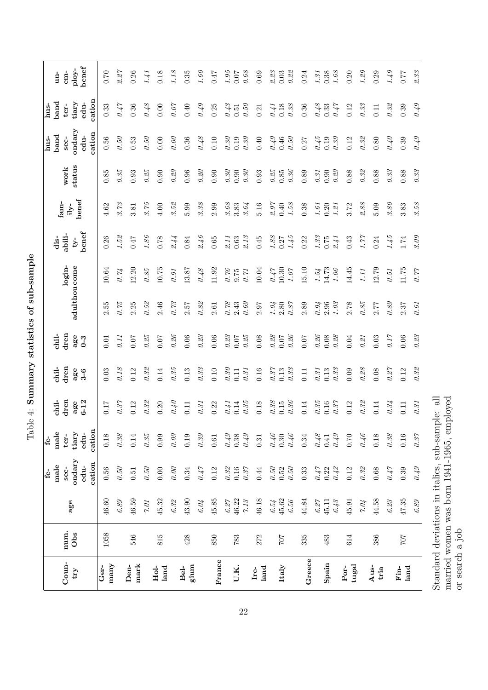|                                                 |             |                   | $f_{\Theta}$ -                                                                                | £.                              |                         |                      |                        |                                                     |                   |                                             |                                             |                      | hus-                             | hus-                            |                       |
|-------------------------------------------------|-------------|-------------------|-----------------------------------------------------------------------------------------------|---------------------------------|-------------------------|----------------------|------------------------|-----------------------------------------------------|-------------------|---------------------------------------------|---------------------------------------------|----------------------|----------------------------------|---------------------------------|-----------------------|
|                                                 |             |                   | male                                                                                          | male                            | chil-                   | chil-                | chil-                  |                                                     |                   | dis-                                        | fam-                                        |                      | band                             | $_{\rm band}$                   | $un-$                 |
| Coun-<br>$\mathop{\rm tr}\nolimits\!mathcal{Y}$ | num.<br>Obs | age               | ondary<br>cation<br>edu-<br>sec-                                                              | cation<br>tiary<br>edu-<br>ter- | dren<br>$6 - 12$<br>age | dren<br>age<br>$3-6$ | dren<br>age<br>$0 - 3$ | adulthou come                                       | $login-$          | benef<br>abili-<br>$-44$                    | benef<br>$ily-$                             | status<br>work       | ondary<br>cation<br>edu-<br>sec- | cation<br>tiary<br>edu-<br>ter- | benef<br>ploy-<br>em- |
| many<br>Ger-                                    | 1058        | $46.60\,$         | 0.56                                                                                          | 0.18                            | 0.17                    | 0.03                 | 0.01                   | 2.55                                                | 10.64             | 0.26                                        | $4.62\,$                                    | 0.85                 | 0.56                             | 0.33                            | 0.70                  |
|                                                 |             | $6.89\,$          | $0.50\,$                                                                                      | $0.38\,$                        | 0.37                    | 0.18                 | 0.11                   | 0.75                                                | 0.74              | 1.52                                        | 3.73                                        | 0.35                 | 0.50                             | 0.47                            | 2.27                  |
| $\operatorname{mark}$<br>Den-                   | 546         | 46.59             | $0.51\,$                                                                                      | $0.14\,$                        | 0.12                    | 0.12                 | 0.07                   | 2.25                                                | 12.20             | 747                                         | 3.81                                        | 0.93                 | 0.53                             | 0.36                            | 0.26                  |
|                                                 |             | $7.01\,$          | $0.50\,$                                                                                      | $0.35\,$                        | $0.32\,$                | $0.32\,$             | 0.25                   | $0.52\,$                                            | $0.85\,$          | $1.86\,$                                    | $3.75\,$                                    | 0.25                 | $0.50\,$                         | 0.48                            | 141                   |
| land<br>Hol-                                    | 815         | 45.32             | $0.00\,$                                                                                      | 0.99                            | 0.20                    | 0.14                 | $0.07\,$               | 2.46                                                | 10.75             | $0.78\,$                                    | 4.00                                        | 0.90                 | 0.00                             | 0.00                            | 0.18                  |
|                                                 |             | $6.32\,$          | 0.00                                                                                          | 0.09                            | 0.40                    | 0.35                 | $0.26\,$               | $0.73\,$                                            | 0.91              | 2.44                                        | $9.5\%$                                     | 0.29                 | 0.00                             | 0.07                            | 1.18                  |
| gium<br>Bel-                                    | 428         | 43.90             | 0.34                                                                                          | 0.19                            | 0.11                    | 0.13                 | $0.06\,$               | 2.57                                                | 13.87             | 0.84                                        | 5.99                                        | 0.96                 | $0.36\,$                         | $0.40$                          | 0.35                  |
|                                                 |             | 6.04              | $0.47$                                                                                        | $0.39\,$                        | 0.31                    | $0.33\,$             | $0.23\,$               | $0.8\mathrm{\textit{2}}$                            | $0.48$            | 2.46                                        | $9.38\,$                                    | 0.20                 | $0.48$                           | 0.49                            | $1.60\,$              |
| France                                          | 850         | 45.85             | 0.12                                                                                          | $0.61\,$                        | 0.22                    | $0.10\,$             | $0.06\,$               | $2.61\,$                                            | 11.92             | $0.65\,$                                    | 2.99                                        | 0.90                 | $0.10\,$                         | 0.25                            | 0.47                  |
|                                                 |             | 6.27              | $0.3\%$                                                                                       | 0.49                            | 0.41                    | 0.30                 | $0.23\,$               | $0.78\,$                                            | 0.76              | 2.11                                        | $\begin{array}{c} 3.68 \\ 3.83 \end{array}$ | 0.30                 | 0.30                             | 0.43                            | $1.95\,$              |
| U.K.                                            | 783         | 46.22             | $0.16\,$                                                                                      | 0.38                            | 0.14                    | 0.11                 | 0.07                   | 2.43                                                | 9.75              | $\!0.63\!$                                  |                                             | 0.90                 | 0.19                             | 0.51                            | 0.07                  |
| $\mathbf{I}$ re-                                |             | $7.13\,$          | $0.37\,$                                                                                      | 0.49                            | 0.35                    | $0.31\,$             | $0.25\,$               | 0.69                                                | $0.71\,$          | 2.13                                        | 3.64                                        | 0.30                 | $0.39\,$                         | 0.50                            | 0.68                  |
| land                                            | 272         | 46.18             | $0.44\,$                                                                                      | $\!0.31$                        | $0.18\,$                | $0.16\,$             | $0.08\,$               | 2.97                                                | 10.04             | $0.45\,$                                    | $5.16\,$                                    | 0.93                 | $0.40\,$                         | 0.21                            | 0.69                  |
|                                                 |             | $6.54$            | $0.50\,$                                                                                      | 0.46                            | $0.38\,$                | 0.37                 | $0.28\,$               |                                                     | $0.47$            | $\begin{array}{c} 1.88 \\ 0.27 \end{array}$ | 2.97                                        | $0.25\,$             | 0.49                             | 0.41                            | 2.23                  |
| Italy                                           | $707$       | 45.62<br>$6.56\,$ | $0.50\,$<br>$\,0.52$                                                                          | 0.46<br>0.30                    | $0.36\,$<br>$0.15\,$    | $0.33\,$<br>0.13     | 0.26<br>0.07           | $\begin{array}{c} 1.04 \\ 2.80 \\ 0.87 \end{array}$ | 10.30<br>$1.07\,$ | $1.45$                                      | $1.58\,$<br>0.40                            | $0.85\,$<br>$0.36\,$ | $0.50\,$<br>$0.46\,$             | $0.38\,$<br>0.18                | 0.22<br>0.03          |
| Greece                                          | 335         | 44.84             | 0.33                                                                                          | $\!0.34\!$                      | 0.14                    | 0.11                 | $0.07$                 | 2.89                                                | 15.10             | 0.22                                        | $0.38\,$                                    | $0.89\,$             | 0.27                             | 0.36                            | 0.24                  |
|                                                 |             | 6.27              | $0.47$                                                                                        | 0.48                            | 0.35                    | 0.31                 | $0.26\,$               |                                                     | $1.54\,$          | 1.33                                        | 1.61                                        | 0.31                 | $0.45\,$                         | 0.48                            | 1.31                  |
| Spain                                           | 483         | 6.43<br>45.11     | 0.22<br>$0.42$                                                                                | 0.49<br>0.41                    | 0.37<br>0.16            | $0.33\,$<br>$\!0.13$ | $0.28$<br>0.08         | 1.03<br>$0.94 \\ 2.96$                              | 14.73<br>$1.06\,$ | 0.75<br>2.41                                | 0.20<br>1.21                                | 0.29<br>0.90         | 0.39<br>0.19                     | 0.33<br>0.47                    | 1.68<br>0.38          |
| $Por-$                                          | 614         | 45.91             | 0.12                                                                                          | $0.70\,$                        | 0.12                    | 0.09                 | 0.04                   | 2.78                                                | 14.45             | 0.43                                        | 3.72                                        | 0.88                 | 0.12                             | 0.12                            | 0.20                  |
| $t$ ugal                                        |             | 7.04              | $0.3\%$                                                                                       | 0.46                            | 0.32                    | 0.28                 | 0.21                   | 0.85                                                | $1.11\,$          | $\tau$                                      | $2.88$                                      | 0.32                 | $0.32\,$                         | 0.33                            | 1.29                  |
| Aus-<br>tria                                    | 386         | 44.58             | $0.68\,$                                                                                      | $0.18\,$                        | 0.14                    | $0.08\,$             | 0.03                   | 2.77                                                | 12.79             | 0.24                                        | 5.09                                        | 0.88                 | $\rm 0.80$                       | 0.11                            | 0.29                  |
|                                                 |             | $6.23$            | $0.47$                                                                                        | $0.38\,$                        | 0.34                    | 0.27                 | 0.17                   | 0.89                                                | $0.51\,$          | 1.45                                        | 3.80                                        | 0.33                 | 0.40                             | 0.32                            | 1.49                  |
| land<br>Fin-                                    | $707\,$     | 47.35             | 0.39                                                                                          | $0.16\,$                        | 0.11                    | 0.12                 | 0.06                   | 2.37                                                | 11.75             | 1.74                                        | 3.83                                        | 0.88                 | 0.39                             | 0.39                            | 0.77                  |
|                                                 |             | $6.89\,$          | 0.49                                                                                          | 0.37                            | 0.31                    | 0.32                 | 0.23                   | 0.61                                                | 0.77              | 3.09                                        | 3.58                                        | 0.33                 | 0.49                             | 0.49                            | 2.33                  |
|                                                 |             |                   | married women was born 1941-1965, employed<br>Standard deviations in italics, sub-sample: all |                                 |                         |                      |                        |                                                     |                   |                                             |                                             |                      |                                  |                                 |                       |

Table 4: Summary statistics of sub-sample  $Table 4: Summary statistics of sub-sample$ 

Standard deviations in italics, sub-sample: all married women was born 1941-1965, employed

or search a job

or search a job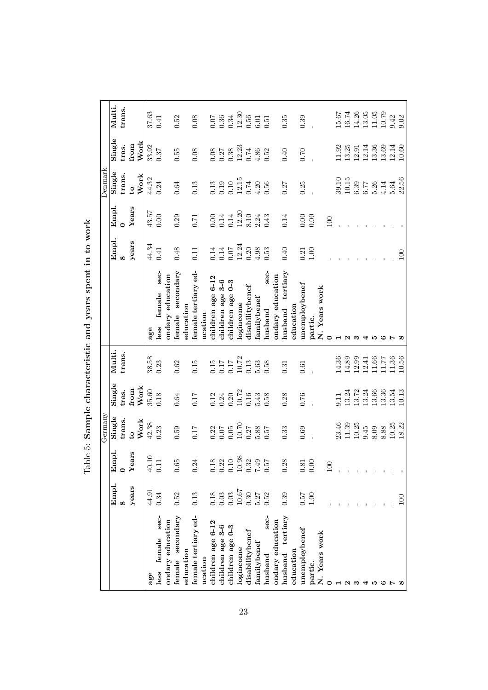|                        |                |                                              | Germany                                                      |                                                      |                                                                               |                         |                                             |                                                              | Denmark                                                                      |                                                     |                                                                 |
|------------------------|----------------|----------------------------------------------|--------------------------------------------------------------|------------------------------------------------------|-------------------------------------------------------------------------------|-------------------------|---------------------------------------------|--------------------------------------------------------------|------------------------------------------------------------------------------|-----------------------------------------------------|-----------------------------------------------------------------|
|                        | Empl.          | mpl.<br>闰                                    | Single                                                       | Single                                               | Multi                                                                         |                         | Empl.                                       | Empl.                                                        | Single                                                                       | Single                                              | Multi.                                                          |
|                        | œ              | $\circ$                                      | trans.                                                       | tras.                                                | trans                                                                         |                         |                                             |                                                              | trans.                                                                       | tras.                                               | trans.                                                          |
|                        | years          | Years                                        | $\mathfrak{c}$                                               | from                                                 |                                                                               |                         | years                                       | Years                                                        | $\mathbf{c}$                                                                 | from                                                |                                                                 |
|                        |                |                                              | Work                                                         | Work                                                 |                                                                               |                         |                                             |                                                              | Work                                                                         | Work                                                |                                                                 |
| age                    | 44.91          | $\begin{array}{c} 40.10 \\ 0.11 \end{array}$ | 42.38                                                        | 35.60                                                | 38.58                                                                         | age                     | 44.34                                       | 43.57                                                        | 44.32                                                                        | 33.92                                               | 37.63                                                           |
| sec-<br>female<br>less | 0.34           |                                              | 0.23                                                         | 0.18                                                 | 0.23                                                                          | sec-<br>female<br>less  | 0.41                                        | 0.00                                                         | 0.24                                                                         | 0.37                                                | 0.41                                                            |
| ondary education       |                |                                              |                                                              |                                                      |                                                                               | ondary education        |                                             |                                                              |                                                                              |                                                     |                                                                 |
| female secondary       | 0.52           | $0.65\,$                                     | 0.59                                                         | $\!0.64\!$                                           | $\!0.62\!$                                                                    | female secondary        | 0.48                                        | 0.29                                                         | $\!0.64\!$                                                                   | 0.55                                                | 0.52                                                            |
| education              |                |                                              |                                                              |                                                      |                                                                               | education               |                                             |                                                              |                                                                              |                                                     |                                                                 |
| female tertiary ed-    | 0.13           | 24<br>$\ddot{\circ}$                         | 0.17                                                         | 0.17                                                 | 0.15                                                                          | female tertiary ed-     | 0.11                                        | $0.71\,$                                                     | 0.13                                                                         | 0.08                                                | 0.08                                                            |
| ucation                |                |                                              |                                                              |                                                      |                                                                               | ucation                 |                                             |                                                              |                                                                              |                                                     |                                                                 |
| children age 6-12      | 0.18           | $18\,$<br>$\dot{\circ}$                      | $\begin{array}{c} 0.22 \\ 0.07 \\ 0.05 \\ 10.70 \end{array}$ | $\!0.12\!$                                           | $\begin{array}{c} 0.15 \\ 0.17 \\ 0.17 \\ 10.72 \\ 10.73 \\ 0.13 \end{array}$ | children age 6-12       | $0.14\,$                                    | $0.00\,$                                                     | $\!0.13$                                                                     |                                                     | 0.07                                                            |
| children age 3-6       | 0.03           | $0.22$<br>$0.10$                             |                                                              | $\begin{array}{c} 0.24 \\ 0.20 \\ 10.72 \end{array}$ |                                                                               | children age 3-6        | $\begin{array}{c} 0.14 \\ 0.07 \end{array}$ | 0.14                                                         |                                                                              | $\begin{array}{c} 0.08 \\ 0.27 \\ 0.38 \end{array}$ | $0.36$<br>$0.34$                                                |
| children age 0-3       | 0.03           |                                              |                                                              |                                                      |                                                                               | $0 - 3$<br>children age |                                             | $0.14\,$                                                     |                                                                              |                                                     |                                                                 |
| logincome              | 10.67          | $10.98\,$                                    |                                                              |                                                      |                                                                               | logincome               | 12.24                                       |                                                              |                                                                              | 12.23                                               | 12.30                                                           |
| disabilitybenef        | 0.30           |                                              |                                                              | $0.16\,$                                             |                                                                               | disabilitybenef         |                                             |                                                              |                                                                              |                                                     |                                                                 |
| familybenef            | 5.27           | $0.32$<br>7.49<br>0.57                       | $\frac{0.27}{5.88}$                                          | 5.43                                                 | $5.63$<br>$0.58$                                                              | ${\rm family}$ benef    | $\begin{array}{c} 0.20 \\ 4.98 \end{array}$ | $\begin{array}{c} 12.20 \\ 8.10 \\ 2.24 \\ 0.43 \end{array}$ | $\begin{array}{c} 0.19 \\ 0.10 \\ 12.15 \\ 0.74 \\ 4.20 \\ 0.56 \end{array}$ | $0.74$<br>$4.86$<br>$0.52$                          | $0.56$<br>$0.51$                                                |
| sec-<br>husband        | 0.52           |                                              |                                                              | 0.58                                                 |                                                                               | sec-<br>husband         | 0.53                                        |                                                              |                                                                              |                                                     |                                                                 |
| ondary education       |                |                                              |                                                              |                                                      |                                                                               | ondary education        |                                             |                                                              |                                                                              |                                                     |                                                                 |
| husband tertiary       | 0.39           | 28<br>$\ddot{\circ}$                         | 0.33                                                         | 0.28                                                 | 0.31                                                                          | husband tertiary        | 0.40                                        | 0.14                                                         | 0.27                                                                         | $0.40\,$                                            | 0.35                                                            |
| education              |                |                                              |                                                              |                                                      |                                                                               | education               |                                             |                                                              |                                                                              |                                                     |                                                                 |
| unemploybenef          | 75.0           | $\begin{array}{c} 0.81 \\ 0.00 \end{array}$  | 0.69                                                         | 0.76                                                 | 0.61                                                                          | unemploybenef           | 0.21                                        | $0.00\,$                                                     | 0.25                                                                         | $0.70\,$                                            | 0.39                                                            |
| partic.                | 00.1           |                                              |                                                              |                                                      |                                                                               | partic.                 | $1.00\,$                                    | 0.00                                                         |                                                                              |                                                     |                                                                 |
| N. Years work          |                |                                              |                                                              |                                                      |                                                                               | N. Years work           |                                             |                                                              |                                                                              |                                                     |                                                                 |
|                        |                | $\approx$                                    |                                                              |                                                      |                                                                               | 0                       |                                             | 100                                                          |                                                                              |                                                     |                                                                 |
|                        |                |                                              |                                                              | 0.11                                                 |                                                                               |                         |                                             |                                                              |                                                                              | 11.92                                               | 15.67<br>16.74                                                  |
| N                      |                |                                              |                                                              | 13.24                                                | 14.36<br>14.89<br>12.99                                                       |                         |                                             |                                                              |                                                                              | 13.25                                               |                                                                 |
|                        |                |                                              | $23.46$<br>11.39<br>10.25                                    | 13.72                                                |                                                                               |                         |                                             |                                                              | $\begin{array}{c} 39.10 \\ 10.15 \\ 6.39 \\ 6.77 \end{array}$                | 12.91                                               |                                                                 |
|                        |                |                                              | $9.45$<br>8.09                                               | 13.24                                                | 12.41                                                                         |                         |                                             |                                                              |                                                                              | $12.14\,$                                           |                                                                 |
|                        |                |                                              |                                                              | 13.66                                                | 11.66                                                                         |                         |                                             |                                                              | $5.26$                                                                       | 13.36                                               | $\begin{array}{c} 14.26 \\ 13.05 \\ 11.05 \\ 10.79 \end{array}$ |
|                        |                |                                              | 8.88                                                         | 13.36                                                | 11.77                                                                         | ⊂                       |                                             |                                                              | $\begin{array}{c} 4.14 \\ 5.64 \end{array}$                                  | 13.69                                               |                                                                 |
|                        |                |                                              | 10.25                                                        | 13.54                                                | 11.36                                                                         | Ņ                       |                                             |                                                              |                                                                              | 12.14                                               | 9.42                                                            |
|                        | $\overline{0}$ |                                              | 18.22                                                        | 10.13                                                | 10.56                                                                         |                         | 100                                         |                                                              | 22.56                                                                        | 10.60                                               | 9.02                                                            |

 $\rm Table~5:$  Sample characteristic and years spent in to work Table 5: Sample characteristic and years spent in to work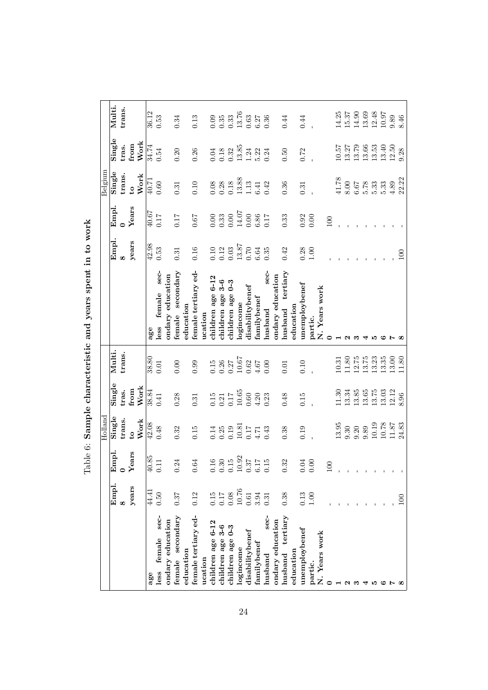|                        |                                             |                                                                              | Holland                                                              |                                                      |                  |                                |            |                   | Belgium                                      |          |                    |
|------------------------|---------------------------------------------|------------------------------------------------------------------------------|----------------------------------------------------------------------|------------------------------------------------------|------------------|--------------------------------|------------|-------------------|----------------------------------------------|----------|--------------------|
|                        | Empl.                                       | Empl                                                                         | Single                                                               | Single                                               | Multi.           |                                | Empl.      | Empl.             | Single                                       | Single   | Multi.             |
|                        | $\infty$                                    | $\circ$                                                                      | trans.                                                               | tras.                                                | trans            |                                | $\infty$   | $\mathbf{\Omega}$ | trans.                                       | tras.    | trans.             |
|                        | years                                       | ears<br>Σ                                                                    | $\mathbf{c}$                                                         | from                                                 |                  |                                | years      | Years             | $\mathbf{c}_1$                               | from     |                    |
|                        |                                             |                                                                              | Work                                                                 | <b>Work</b>                                          |                  |                                |            |                   | Work                                         | Work     |                    |
| age                    | 44.41                                       | 40.85                                                                        | 42.08                                                                | 38.84                                                | 38.80            | age                            | 42.98      | 40.67             | 40.71                                        | 34.74    | 36.12              |
| sec-<br>female<br>less | 0.50                                        | 0.11                                                                         | 0.48                                                                 | 0.41                                                 | 0.01             | sec-<br>female<br>less         | 0.53       | 0.17              | 0.60                                         | 0.54     | 0.53               |
| ondary education       |                                             |                                                                              |                                                                      |                                                      |                  | ondary education               |            |                   |                                              |          |                    |
| secondary<br>female    | 0.37                                        | 0.24                                                                         | 0.32                                                                 | 0.28                                                 | 0.00             | secondary<br>female            | $\!0.31$   | 0.17              | $\!0.31$                                     | 0.20     | 0.34               |
| education              |                                             |                                                                              |                                                                      |                                                      |                  | education                      |            |                   |                                              |          |                    |
| female tertiary ed-    | 0.12                                        | 0.64                                                                         | 0.15                                                                 | 0.31                                                 | 0.99             | female tertiary ed-            | 0.16       | 0.67              | $0.10\,$                                     | 0.26     | 0.13               |
| ucation                |                                             |                                                                              |                                                                      |                                                      |                  | ucation                        |            |                   |                                              |          |                    |
| children age 6-12      | 0.15                                        | $0.16\,$                                                                     | 0.14                                                                 | 0.15                                                 | 0.15             | children age 6-12              | 0.10       | $0.00$            | $0.08\,$                                     | 0.04     | $0.33$<br>$0.33$   |
| children age 3-6       | $\begin{array}{c} 0.08 \\ 11.0 \end{array}$ |                                                                              |                                                                      |                                                      | $0.26$<br>$0.27$ | children age 3-6               | 0.12       | 0.33              | 0.28                                         | $0.18\,$ |                    |
| children age 0-3       |                                             |                                                                              |                                                                      | $\begin{array}{c} 0.21 \\ 0.17 \\ 10.65 \end{array}$ |                  | $0 - 3$<br>children age        | 0.03       |                   | $\begin{array}{c} 0.18 \\ 13.88 \end{array}$ | 0.32     |                    |
| logincome              | 10.76                                       |                                                                              |                                                                      |                                                      | 10.67            | ogincome                       | 13.87      | 14.07             |                                              | 13.85    | 13.76              |
| disabilitybenef        | $0.61\,$                                    |                                                                              |                                                                      | $\!0.60\!$                                           | 0.62             | disabilitybenef                | 0.70       | 0.00              |                                              | 1.24     | $\!0.63\!$         |
| familybenef            | 3.94                                        | $\begin{array}{c} 0.30 \\ 0.15 \\ 10.92 \\ 0.37 \\ 6.17 \\ 6.15 \end{array}$ | $\begin{array}{c} 0.25 \\ 0.19 \\ 10.81 \\ 0.17 \\ 4.71 \end{array}$ | $4.20$                                               | 4.67             | $\tanh$                        | $\,6.64\,$ | $6.86\,$          | $\begin{array}{c} 1.13 \\ 6.41 \end{array}$  | 5.22     | $6.27$<br>0.36     |
| sec-<br>husband        | 0.31                                        |                                                                              | 0.43                                                                 | 0.23                                                 | 0.00             | sec-<br>$_{\rm{husband}}$      | 0.35       | 0.17              | 0.42                                         | 0.24     |                    |
| ondary education       |                                             |                                                                              |                                                                      |                                                      |                  | ondary education               |            |                   |                                              |          |                    |
| husband tertiary       | 0.38                                        | 0.32                                                                         | 0.38                                                                 | 0.48                                                 | 0.01             | ${\rm husband \quad tertiary}$ | 0.42       | 0.33              | 0.36                                         | 0.50     | 0.44               |
| ${\rm education}$      |                                             |                                                                              |                                                                      |                                                      |                  | education                      |            |                   |                                              |          |                    |
| unemploybenef          | 0.13                                        | $0.04\,$                                                                     | 0.19                                                                 | 0.15                                                 | 0.10             | unemploybenef                  | 0.28       | $0.92$<br>$0.00$  | 0.31                                         | 0.72     | 0.44               |
| partic.                | 1.00                                        | $0.00\,$                                                                     |                                                                      |                                                      |                  | partic.                        | $1.00\,$   |                   |                                              |          |                    |
| N. Years work          |                                             |                                                                              |                                                                      |                                                      |                  | N. Years work                  |            |                   |                                              |          |                    |
|                        |                                             | $\approx$                                                                    |                                                                      |                                                      |                  | 0                              |            | 100               |                                              |          |                    |
|                        |                                             |                                                                              | 13.95                                                                | 11.30                                                | 10.31            |                                |            |                   | 41.78                                        | 10.57    | 14.25              |
|                        |                                             |                                                                              | $\! 9.30\!$                                                          | 13.34                                                | $11.80\,$        | $\sim$                         |            |                   | $\!\!\!\!\!8.00$                             | 13.27    | $15.37\,$          |
|                        |                                             |                                                                              | $0.20$<br>$0.89$                                                     | 13.85                                                | 12.75            | ಌ                              |            |                   | $6.67$                                       | 13.79    | 14.90              |
|                        |                                             |                                                                              |                                                                      | 13.65                                                | 13.75            | ₹                              |            |                   | 5.78                                         | 13.66    | 13.69              |
|                        |                                             |                                                                              | 10.19                                                                | $13.75\,$                                            | 13.23            | ١n                             |            |                   | 5.33                                         | 13.53    | $12.48$<br>$10.97$ |
|                        |                                             |                                                                              | 10.78                                                                | 13.03                                                | 13.35            | ఴ                              |            |                   | 5.33                                         | 13.40    |                    |
|                        |                                             |                                                                              | 11.87                                                                | 12.12                                                | 13.00            | r                              |            |                   | 4.89                                         | 12.50    | $\rm 9.89$         |
|                        | 100                                         |                                                                              | 24.83                                                                | 8.96                                                 | 11.80            | $\infty$                       | 100        |                   | 22.22                                        | 9.28     | 8.46               |

 $\rm Table~6:$  Sample characteristic and years spent in to work Table 6: Sample characteristic and years spent in to work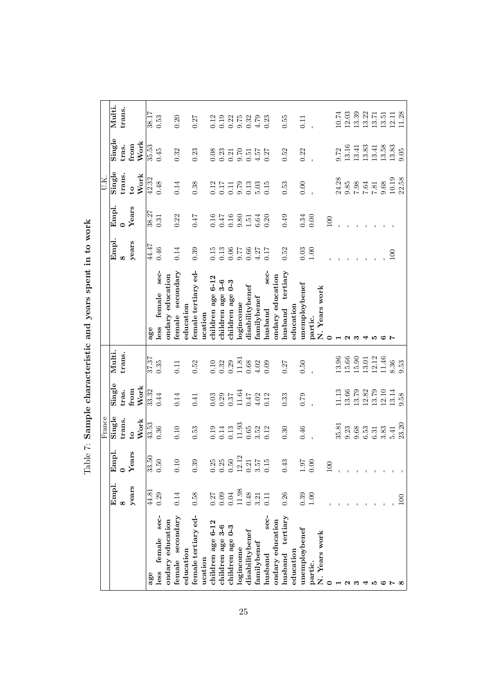|                        |           |                                                                                        | France                                               |                                                      |                    |                         |                                             |                  | U.K.                                                      |                                               |                                      |
|------------------------|-----------|----------------------------------------------------------------------------------------|------------------------------------------------------|------------------------------------------------------|--------------------|-------------------------|---------------------------------------------|------------------|-----------------------------------------------------------|-----------------------------------------------|--------------------------------------|
|                        |           |                                                                                        |                                                      |                                                      |                    |                         |                                             |                  |                                                           |                                               |                                      |
|                        | Empl.     | Empl.                                                                                  | Single                                               | Single                                               | Multi.             |                         | Empl.                                       | Empl.            | Single                                                    | Single                                        | Multi.                               |
|                        | $\infty$  | $\circ$                                                                                | trans.                                               | tras.                                                | trans.             |                         | $\infty$                                    |                  | trans.                                                    | tras.                                         | trans.                               |
|                        | years     | Years                                                                                  | $\mathfrak{c}$                                       | from                                                 |                    |                         | years                                       | Years            | $\mathbf{c}$                                              | from                                          |                                      |
|                        |           |                                                                                        | Work                                                 | Work                                                 |                    |                         |                                             |                  | Work                                                      | Work                                          |                                      |
| age                    | 44.81     | $\begin{array}{c} 33.50 \\ 0.50 \end{array}$                                           | 43.53                                                | 33.32                                                | 37.37              | age                     | 44.47                                       | 38.27            | 42.32                                                     | 35.53                                         |                                      |
| sec-<br>female<br>less | 0.29      |                                                                                        | 0.36                                                 | 0.44                                                 | 0.35               | sec-<br>female<br>less  | 0.46                                        | 0.31             | $0.48\,$                                                  | 0.45                                          | $\frac{1}{28.17}$                    |
| ondary education       |           |                                                                                        |                                                      |                                                      |                    | ondary education        |                                             |                  |                                                           |                                               |                                      |
| female secondary       | 0.14      | 0.10                                                                                   | 0.10                                                 | 0.14                                                 | 0.11               | female secondary        | 0.14                                        | 0.22             | 0.14                                                      | 0.32                                          | 0.20                                 |
| education              |           |                                                                                        |                                                      |                                                      |                    | education               |                                             |                  |                                                           |                                               |                                      |
| female tertiary ed-    | 0.58      | 0.39                                                                                   | 0.53                                                 | 0.41                                                 | $0.52\,$           | female tertiary ed-     | 0.39                                        | 71.0             | 0.38                                                      | 0.23                                          | 0.27                                 |
| ucation                |           |                                                                                        |                                                      |                                                      |                    | ucation                 |                                             |                  |                                                           |                                               |                                      |
| children age 6-12      | 0.27      |                                                                                        | $\rm 0.19$                                           | $0.03\,$                                             | $0.10\,$           | children age 6-12       | 0.15                                        | $0.16\,$         | $\frac{0.12}{0.17}$                                       | 0.08                                          | 0.12                                 |
| children age 3-6       | 0.09      |                                                                                        | 0.14                                                 | $\begin{array}{c} 0.29 \\ 0.37 \\ 11.64 \end{array}$ | $0.32$<br>$0.29$   | children age 3-6        | 0.13                                        | 0.47             |                                                           |                                               |                                      |
| children age 0-3       | 0.04      |                                                                                        |                                                      |                                                      |                    | $0 - 3$<br>children age | 77.6                                        | $0.16$<br>$9.80$ | $0.11$<br>$9.79$                                          | 0.21<br>0.21<br>0.51                          |                                      |
| logincome              | $11.98\,$ |                                                                                        |                                                      |                                                      | 11.81              | logincome               |                                             |                  |                                                           |                                               |                                      |
| disabilitybenef        | $0.48\,$  |                                                                                        | $\begin{array}{c} 0.13 \\ 11.93 \\ 0.65 \end{array}$ | 747                                                  | $0.68\,$           | disabilitybenef         |                                             |                  |                                                           |                                               |                                      |
| familybenef            | 3.21      | $\begin{array}{c} 0.25 \\ 0.50 \\ 0.512 \\ 12.12 \\ 0.357 \\ 0.15 \\ 0.15 \end{array}$ | $3.52$<br>$0.12$                                     | 4.02                                                 | 4.02               | $\bm{\mathrm{family}}$  | $\begin{array}{c} 0.66 \\ 4.27 \end{array}$ | $1.51$<br>6.64   | $0.13$<br>$0.15$<br>$0.15$                                | 4.57                                          | $0.388883$<br>$0.38883$<br>$0.38883$ |
| sec-<br>husband        | 0.11      |                                                                                        |                                                      | 0.12                                                 | 0.09               | sec-<br>husband         | 0.17                                        | 0.20             |                                                           | 0.27                                          |                                      |
| ondary education       |           |                                                                                        |                                                      |                                                      |                    | ondary education        |                                             |                  |                                                           |                                               |                                      |
| husband tertiary       | 0.26      | 0.43                                                                                   | 0.30                                                 | 0.33                                                 | 0.27               | husband tertiary        | 0.52                                        | 0.49             | 0.53                                                      | 0.52                                          | 0.55                                 |
| education              |           |                                                                                        |                                                      |                                                      |                    | education               |                                             |                  |                                                           |                                               |                                      |
| unemploybenef          | 0.39      | $\begin{array}{c} 1.07 \\ 0.00 \end{array}$                                            | 0.46                                                 | 0.79                                                 | $0.50\,$           | unemploybenef           | $\begin{array}{c} 0.03 \\ 1.00 \end{array}$ | 0.34             | 0.00                                                      | 0.22                                          | 0.11                                 |
| partic.                | $1.00\,$  |                                                                                        |                                                      |                                                      |                    | partic.                 |                                             | 0.00             |                                                           |                                               |                                      |
| N. Years work          |           |                                                                                        |                                                      |                                                      |                    | N. Years work           |                                             |                  |                                                           |                                               |                                      |
| 0                      |           | $\supseteq$                                                                            |                                                      |                                                      |                    | $\circ$                 |                                             | 100              |                                                           |                                               |                                      |
|                        |           |                                                                                        | 35.81                                                | 11.13                                                | 13.96              |                         |                                             |                  |                                                           | 9.72                                          | 10.74                                |
| $ \sim$ $\infty$       |           |                                                                                        | $\begin{array}{c} 9.23 \\ 9.68 \end{array}$          | 13.66                                                | $15.66$<br>$15.90$ | $\sim$                  |                                             |                  |                                                           |                                               | $12.03$<br>$13.39$                   |
|                        |           |                                                                                        |                                                      | 13.79                                                |                    | ಣ                       |                                             |                  |                                                           | $\begin{array}{c} 13.16 \\ 13.41 \end{array}$ |                                      |
| ₹                      |           |                                                                                        | $6.53\,$                                             | 12.82<br>13.79                                       | 13.01              | ◅                       |                                             |                  |                                                           | 13.83                                         | 13.22                                |
| ю                      |           |                                                                                        | 6.31                                                 |                                                      | 12.12              | ١n                      |                                             |                  | $24.28$<br>$9.85$<br>$7.64$<br>$7.81$<br>$0.68$<br>$0.68$ | 13.41                                         | 13.71                                |
| ల                      |           |                                                                                        | 3.83                                                 | $12.10$                                              | 11.46              | ల                       |                                             |                  |                                                           | 13.58                                         | 13.51                                |
| Ŀ                      |           |                                                                                        | 5.41                                                 | 13.14                                                | 8.36               |                         | 100                                         |                  | 10.19                                                     | 13.83                                         | 12.11                                |
|                        | 100       |                                                                                        | 23.20                                                | 9.58                                                 | 9.53               |                         |                                             |                  | 22.58                                                     | 9.05                                          | 11.28                                |

 $\mbox{\sc Table 7:}$  Sample characteristic and years spent in to work Table 7: Sample characteristic and years spent in to work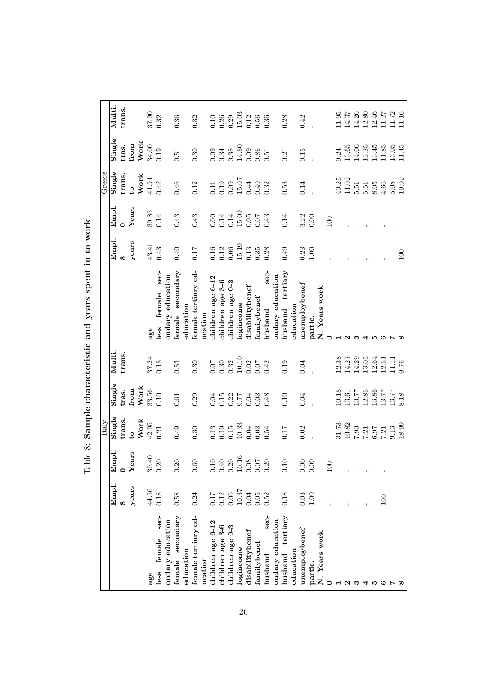|                        |          |                                                                              | Italy                                                                            |                    |                    |                         |          |                      | Greece                                               |                                                     |                                                              |
|------------------------|----------|------------------------------------------------------------------------------|----------------------------------------------------------------------------------|--------------------|--------------------|-------------------------|----------|----------------------|------------------------------------------------------|-----------------------------------------------------|--------------------------------------------------------------|
|                        | Empl.    | Empl.                                                                        | Single                                                                           | Single             | Multi.             |                         | Empl.    | Empl.                | Single                                               | Single                                              | Multi.                                                       |
|                        | $\infty$ | $\circ$                                                                      | trans.                                                                           | tras.              | trans.             |                         | $\infty$ |                      | trans.                                               | tras.                                               | trans.                                                       |
|                        | years    | ears<br>گ                                                                    | $\mathbf{c}_1$                                                                   | from               |                    |                         | years    | Years                | $\overline{c}$                                       | from                                                |                                                              |
|                        |          |                                                                              | Work                                                                             | Work               |                    |                         |          |                      | Work                                                 | Work                                                |                                                              |
| age                    | 44.56    | 39.40                                                                        | 42.95                                                                            | 33.56              | 37.24              | age                     | 43.41    | 39.86                | 41.91                                                | 34.00                                               | 37.90                                                        |
| sec-<br>female<br>less | 0.18     | 0.20                                                                         | 0.21                                                                             | 0.10               | 0.18               | sec-<br>female<br>less  | 0.43     | 0.14                 | 0.42                                                 | 0.19                                                | 0.32                                                         |
| ondary education       |          |                                                                              |                                                                                  |                    |                    | ondary education        |          |                      |                                                      |                                                     |                                                              |
| secondary<br>female    | 0.58     | 0.20                                                                         | 0.49                                                                             | 0.61               | $\!0.53\!$         | female secondary        | 0.40     | 0.43                 | $0.46\,$                                             | 0.51                                                | $\!0.36\!$                                                   |
| education              |          |                                                                              |                                                                                  |                    |                    | education               |          |                      |                                                      |                                                     |                                                              |
| female tertiary ed-    | 0.24     | $0.60\,$                                                                     | 0.30                                                                             | 0.29               | 0.30               | female tertiary ed-     | 0.17     | 0.43                 | 0.12                                                 | 0.30                                                | 0.32                                                         |
| ucation                |          |                                                                              |                                                                                  |                    |                    | ucation                 |          |                      |                                                      |                                                     |                                                              |
| children age 6-12      | 0.17     | $0.10\,$                                                                     | $\!0.13$                                                                         | 0.04               | $0.07$             | children age 6-12       | $0.16\,$ | $0.00\,$             | $0.11\,$                                             | 0.09                                                |                                                              |
| children age 3-6       | 0.12     |                                                                              | 0.19                                                                             | 0.15               | $0.30$<br>$0.32$   | children age 3-6        | 0.12     | 0.14                 |                                                      | 0.34                                                |                                                              |
| children age 0-3       | $0.06$   |                                                                              |                                                                                  |                    |                    | $0 - 3$<br>children age | $0.06\,$ |                      |                                                      |                                                     |                                                              |
| logincome              | 10.37    |                                                                              | $\begin{array}{c} 0.15 \\ 10.33 \end{array}$                                     | $0.22$<br>$9.77$   | 10.10              | logincome               | 15.19    | $\frac{0.14}{15.09}$ | $\begin{array}{c} 0.19 \\ 0.09 \\ 15.07 \end{array}$ | $14.80$                                             | $\begin{array}{c} 0.10 \\ 0.26 \\ 0.29 \\ 15.03 \end{array}$ |
| disabilitybenef        | $0.04\,$ |                                                                              | $0.04\,$                                                                         | 0.04               | 0.02               | disabilitybenef         | 0.13     |                      |                                                      |                                                     |                                                              |
| $family$ benef         | $0.05\,$ | $\begin{array}{c} 0.40 \\ 0.20 \\ 10.16 \\ 0.08 \\ 0.07 \\ 0.20 \end{array}$ | $0.03\,$                                                                         | $0.03$<br>$0.48$   | $0.07$<br>$0.42$   | ${\rm family}$ benef    | $0.35\,$ | $0.07$               | $0.44$<br>$0.32$                                     | $\begin{array}{c} 0.09 \\ 0.51 \\ 0.51 \end{array}$ | $\begin{array}{c} 0.12 \\ 0.56 \\ 0.36 \end{array}$          |
| sec-<br>husband        | 0.52     |                                                                              | 0.54                                                                             |                    |                    | sec-<br>husband         | 0.28     | 0.43                 |                                                      |                                                     |                                                              |
| ondary education       |          |                                                                              |                                                                                  |                    |                    | ondary education        |          |                      |                                                      |                                                     |                                                              |
| husband tertiary       | 0.18     | 0.10                                                                         | 0.17                                                                             | $0.10\,$           | 0.19               | husband tertiary        | 0.49     | 0.14                 | $0.53\,$                                             | 0.21                                                | 0.28                                                         |
| education              |          |                                                                              |                                                                                  |                    |                    | education               |          |                      |                                                      |                                                     |                                                              |
| unemploybenef          | $0.03\,$ | $0.00\,$                                                                     | 0.02                                                                             | 0.04               | 0.04               | unemploybenef           | 0.23     | $3.22$<br>$0.00$     | 0.14                                                 | 0.15                                                | 0.42                                                         |
| partic.                | 1.00     | $0.00\,$                                                                     |                                                                                  |                    |                    | partic.                 | $1.00\,$ |                      |                                                      |                                                     |                                                              |
| N. Years work          |          |                                                                              |                                                                                  |                    |                    | N. Years work           |          |                      |                                                      |                                                     |                                                              |
|                        |          | $\approx$                                                                    |                                                                                  |                    |                    |                         |          | 100                  |                                                      |                                                     |                                                              |
|                        |          |                                                                              |                                                                                  | 10.18              | $12.38$<br>$14.27$ |                         |          |                      | $40.25$<br>11.02                                     | 9.24                                                | 11.95                                                        |
| $\boldsymbol{\alpha}$  |          |                                                                              |                                                                                  | $13.61\,$          |                    | N                       |          |                      |                                                      | 13.65                                               | 14.37                                                        |
|                        |          |                                                                              |                                                                                  | 13.77              | 14.29              | ∾                       |          |                      | $5.51\,$                                             | 14.06                                               | 14.26                                                        |
|                        |          |                                                                              |                                                                                  | $12.85$<br>$13.86$ | 13.05              | ⊣                       |          |                      | $5.51$ $8.05$                                        | 13.25                                               |                                                              |
|                        |          |                                                                              | $\begin{array}{c} 31.73 \\ 10.82 \\ 7.93 \\ 7.21 \\ 6.97 \\ 7.21 \\ \end{array}$ |                    | 12.64              | ١O                      |          |                      |                                                      | 13.45                                               | $\frac{12.80}{12.46}$                                        |
|                        | 100      |                                                                              |                                                                                  | 13.77              | 12.51              | ఴ                       |          |                      | $4.66\,$                                             | 11.85                                               |                                                              |
|                        |          |                                                                              | 9.13                                                                             | 13.77              | 11.11              | r                       |          |                      | 5.08                                                 | 13.05                                               | 11.72                                                        |
|                        |          |                                                                              | 18.99                                                                            | 8.18               | 9.76               |                         | 100      |                      | 19.92                                                | 11.45                                               | 11.16                                                        |

 $\rm Table~8:$  Sample characteristic and years spent in to work Table 8: Sample characteristic and years spent in to work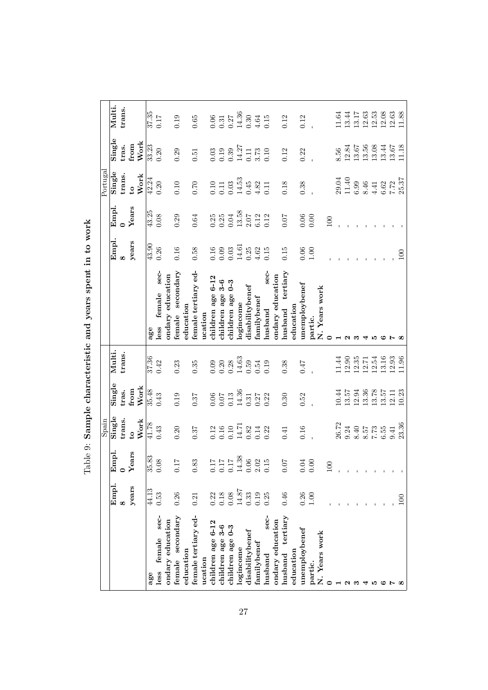|                        |          |                                                        | Spain                                                                        |                                                      |                              |                                          |                |          | Portugal                                                                     |                  |                                                                   |
|------------------------|----------|--------------------------------------------------------|------------------------------------------------------------------------------|------------------------------------------------------|------------------------------|------------------------------------------|----------------|----------|------------------------------------------------------------------------------|------------------|-------------------------------------------------------------------|
|                        | Empl.    | Empl.                                                  | Single                                                                       | Single                                               | Multi.                       |                                          | Empl.          | Empl.    | Single                                                                       | Single           | Multi.                                                            |
|                        | $\infty$ | $\circ$                                                | trans.                                                                       | tras.                                                | trans                        |                                          | $\infty$       | $\circ$  | trans.                                                                       | tras.            | trans.                                                            |
|                        | years    | ears<br>گ                                              | $\mathbf{e}$                                                                 | from                                                 |                              |                                          | years          | Years    | $\mathbf{c}$                                                                 | from             |                                                                   |
|                        |          |                                                        | Work                                                                         | Work                                                 |                              |                                          |                |          | Work                                                                         | Work             |                                                                   |
| age                    | 44.13    | 35.83                                                  | 41.78                                                                        | 35.48                                                | 37.36                        | age                                      | 43.90          | 43.25    | 42.24                                                                        | 33.23            | 37.35                                                             |
| sec-<br>female<br>less | 0.53     | 0.08                                                   | 0.43                                                                         | 0.43                                                 | 0.42                         | sec-<br>female<br>less                   | 0.26           | 0.08     | 0.20                                                                         | 0.20             | 0.17                                                              |
| ondary education       |          |                                                        |                                                                              |                                                      |                              | $\mathop{\mathrm{andary\;ed}}$ education |                |          |                                                                              |                  |                                                                   |
| secondary<br>female    | 0.26     | $0.17$                                                 | 0.20                                                                         | 0.19                                                 | 0.23                         | female secondary                         | 0.16           | 0.29     | 0.10                                                                         | 0.29             | 0.19                                                              |
| education              |          |                                                        |                                                                              |                                                      |                              | education                                |                |          |                                                                              |                  |                                                                   |
| female tertiary ed-    | 0.21     | 0.83                                                   | 0.37                                                                         | 0.37                                                 | 0.35                         | female tertiary ed-                      | 0.58           | 0.64     | $0.70$                                                                       | 0.51             | $0.65\,$                                                          |
| ucation                |          |                                                        |                                                                              |                                                      |                              | ucation                                  |                |          |                                                                              |                  |                                                                   |
| children age 6-12      | 0.22     | $\begin{array}{c} 71.0 \\ 11.0 \\ 21.0 \\ \end{array}$ | 0.12                                                                         | $0.06\,$                                             | 0.09                         | children age 6-12                        | $0.16\,$       | 0.25     |                                                                              | $\!0.03\!$       |                                                                   |
| children age 3-6       | 0.18     |                                                        |                                                                              | $\begin{array}{c} 0.07 \\ 0.13 \\ 14.36 \end{array}$ | $\frac{0.20}{0.28}$<br>14.63 | children age 3-6                         | 0.09           | $0.25\,$ |                                                                              | 0.19             |                                                                   |
| children age 0-3       | $0.08\,$ |                                                        |                                                                              |                                                      |                              | $0 - 3$<br>children age                  | $0.03\,$       | $0.04\,$ |                                                                              | 0.39             |                                                                   |
| logincome              | 14.87    | 14.38                                                  |                                                                              |                                                      |                              | logincome                                | 14.61          | 13.58    |                                                                              | 14.27            |                                                                   |
| disabilitybenef        | 0.33     | $0.06$                                                 |                                                                              |                                                      | 0.59                         | disabilitybenef                          | $0.25$<br>4.62 | $2.07\,$ |                                                                              | 0.11             |                                                                   |
| familybenef            | 0.19     | $2.02$ $0.15$                                          | $\begin{array}{c} 0.16 \\ 0.10 \\ 14.71 \\ 0.82 \\ 0.31 \\ 0.22 \end{array}$ | $0.31$<br>$0.27$                                     | 0.54                         | ${\rm family}$ benef                     |                | $6.12\,$ | $\begin{array}{c} 0.10 \\ 0.11 \\ 0.03 \\ 14.53 \\ 0.45 \\ 4.82 \end{array}$ | $3.73$<br>$0.10$ | $0.31$<br>$0.27$<br>$14.36$<br>$14.36$<br>$14.36$<br>$15$<br>$15$ |
| sec-<br>husband        | 0.25     |                                                        |                                                                              | 0.22                                                 | 0.19                         | sec-<br>husband                          | 0.15           | 0.12     | 0.11                                                                         |                  |                                                                   |
| ondary education       |          |                                                        |                                                                              |                                                      |                              | ondary education                         |                |          |                                                                              |                  |                                                                   |
| husband tertiary       | 0.46     | $0.07$                                                 | 0.41                                                                         | 0.30                                                 | 0.38                         | husband tertiary                         | 0.15           | 0.07     | 0.18                                                                         | 0.12             | 0.12                                                              |
| education              |          |                                                        |                                                                              |                                                      |                              | education                                |                |          |                                                                              |                  |                                                                   |
| unemploybenef          | 0.26     | $0.04\,$                                               | 0.16                                                                         | 0.52                                                 | 75.0                         | unemploybenef                            | $0.06\,$       | $0.06$   | 0.38                                                                         | 0.22             | 0.12                                                              |
| partic.                | 001      | $0.00\,$                                               |                                                                              |                                                      |                              | partic.                                  | $1.00\,$       | 0.00     |                                                                              |                  |                                                                   |
| N. Years work          |          |                                                        |                                                                              |                                                      |                              | N. Years work                            |                |          |                                                                              |                  |                                                                   |
|                        |          | $\approx$                                              |                                                                              |                                                      |                              | $\circ$                                  |                | 100      |                                                                              |                  |                                                                   |
|                        |          |                                                        | 26.72<br>9.24                                                                | 10.44                                                | 11.44                        |                                          |                |          |                                                                              | 8.56             | 11.64                                                             |
|                        |          |                                                        |                                                                              | 13.57                                                | 12.90                        | N                                        |                |          |                                                                              | 12.84            | 13.44                                                             |
|                        |          |                                                        | $\phantom{00}8.40$                                                           | 12.94                                                | $12.35\,$                    |                                          |                |          | 29.04<br>11.40<br>6.99                                                       | 13.67            | 13.17                                                             |
|                        |          |                                                        |                                                                              | 13.36                                                | 12.71                        | ⊣                                        |                |          |                                                                              | 13.56            |                                                                   |
|                        |          |                                                        | $7.73\phantom{1}$                                                            | 13.78                                                | 12.54                        | ١n                                       |                |          | $\begin{array}{c} 8.46 \\ 4.41 \end{array}$                                  | 13.08            | $\frac{12.63}{12.53}$                                             |
| ల                      |          |                                                        | 6.55                                                                         | 13.57                                                | 13.16                        | ఴ                                        |                |          | $6.62\,$                                                                     | 13.44            |                                                                   |
|                        |          |                                                        | 9.41                                                                         | 12.11                                                | 12.93                        | r                                        |                |          | $7.72$<br>25.37                                                              | 13.67            | 12.63                                                             |
|                        | 100      |                                                        | 23.36                                                                        | 10.23                                                | 11.96                        | $\infty$                                 | 100            |          |                                                                              | 11.18            | 11.88                                                             |

 $\rm Table$  9: Sample characteristic and years spent in to work Table 9: Sample characteristic and years spent in to work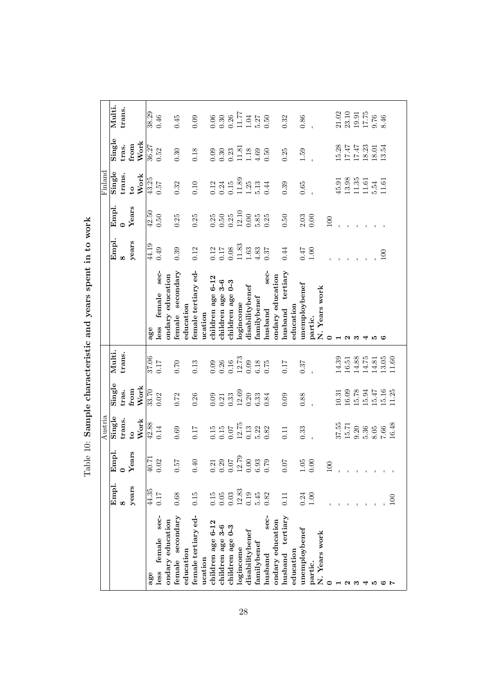|                        |                |                                                              | Austria                                                              |                                             |                                                              |                        |            |                  | Finland                                                      |                            |                            |
|------------------------|----------------|--------------------------------------------------------------|----------------------------------------------------------------------|---------------------------------------------|--------------------------------------------------------------|------------------------|------------|------------------|--------------------------------------------------------------|----------------------------|----------------------------|
|                        | Empl.          | Empl.                                                        | Single                                                               | Single                                      | Multi.                                                       |                        | Empl.      | Empl.            | Single                                                       | Single                     | Multi.                     |
|                        | $\infty$       | $\circ$                                                      | trans.                                                               | tras.                                       | trans                                                        |                        | œ          | $\bullet$        | trans.                                                       | tras.                      | trans.                     |
|                        | years          | ears                                                         | $\mathbf{c}$                                                         | from                                        |                                                              |                        | years      | Years            | $\mathbf{c}$                                                 | from                       |                            |
|                        |                |                                                              | Work                                                                 | Work                                        |                                                              |                        |            |                  | Work                                                         | Work                       |                            |
| age                    | 44.35          | 40.71                                                        | 42.88                                                                | 33.70                                       | 37.06                                                        | age                    | 44.19      | 42.50            | 43.25                                                        | 36.27                      | 38.29                      |
| sec-<br>female<br>less | 0.17           | 0.02                                                         | 0.14                                                                 | 0.02                                        | 0.17                                                         | sec-<br>female<br>less | 0.49       | 0.50             | 75.0                                                         | 0.52                       | 0.46                       |
| ondary education       |                |                                                              |                                                                      |                                             |                                                              | ondary education       |            |                  |                                                              |                            |                            |
| secondary<br>female    | $0.68\,$       | 75.0                                                         | 0.69                                                                 | $0.72\,$                                    | $0.70\,$                                                     | secondary<br>female    | 0.39       | 0.25             | 0.32                                                         | 0.30                       | 0.45                       |
| education              |                |                                                              |                                                                      |                                             |                                                              | education              |            |                  |                                                              |                            |                            |
| female tertiary ed-    | 0.15           | 0.40                                                         | 0.17                                                                 | $0.26\,$                                    | 0.13                                                         | female tertiary ed-    | 0.12       | 0.25             | 0.10                                                         | 0.18                       | 0.09                       |
| ucation                |                |                                                              |                                                                      |                                             |                                                              | ucation                |            |                  |                                                              |                            |                            |
| children age 6-12      | 0.15           |                                                              |                                                                      | 0.09                                        |                                                              | children age 6-12      | $\!0.12\!$ |                  |                                                              |                            |                            |
| children age 3-6       | $0.05\,$       | $\begin{array}{c} 0.21 \\ 0.29 \\ 0.07 \\ 12.79 \end{array}$ | $\begin{array}{c} 0.15 \\ 0.15 \\ 0.07 \\ 12.75 \\ 0.13 \end{array}$ | $\frac{0.21}{0.33}$                         | $\begin{array}{c} 0.09 \\ 0.26 \\ 0.16 \\ 12.73 \end{array}$ | children age 3-6       | $0.17$     | $0.25$<br>$0.50$ | $\begin{array}{c} 0.12 \\ 0.24 \\ 0.15 \\ 11.89 \end{array}$ | $0.30$<br>$0.30$<br>$0.23$ | $0.30$<br>$0.36$<br>$0.26$ |
| children age 0-3       | 0.03           |                                                              |                                                                      |                                             |                                                              | children age 0-3       | $0.08\,$   | 0.25             |                                                              |                            |                            |
| logincome              | 12.83          |                                                              |                                                                      | 12.69                                       |                                                              | logincome              | 11.83      | 12.10            |                                                              | 11.81                      | 11.77                      |
| disabilitybenef        | 0.19           | $0.00\,$                                                     |                                                                      | $\begin{array}{c} 0.20 \\ 6.33 \end{array}$ | 0.09                                                         | disabilitybenef        | $1.63\,$   | $0.00\,$         | $1.25\,$                                                     | 1.18                       | $1.04\,$                   |
| familybenef            | 5.45           | $6.93$<br>$0.79$                                             | 5.22                                                                 |                                             | 6.18                                                         | ${\rm family}$ benef   | $4.83$     | 5.85             | 5.13                                                         | 4.69                       | $5.27$                     |
| sec-<br>husband        | 0.82           |                                                              | 0.82                                                                 | 0.84                                        | 0.75                                                         | sec-<br>husband        | 0.37       | 0.25             | 0.44                                                         | 0.50                       | 0.50                       |
| ondary education       |                |                                                              |                                                                      |                                             |                                                              | ondary education       |            |                  |                                                              |                            |                            |
| tertiary<br>husband    | 0.11           | 50<br>$\dot{\circ}$                                          | 0.11                                                                 | 0.09                                        | 0.17                                                         | tertiary<br>husband    | 0.44       | 0.50             | 0.39                                                         | 0.25                       | 0.32                       |
| education              |                |                                                              |                                                                      |                                             |                                                              | education              |            |                  |                                                              |                            |                            |
| unemploybenef          | 0.24           | $1.05\,$                                                     | 0.33                                                                 | 0.88                                        | 0.37                                                         | unemploybenef          | 0.47       | $2.03$           | 0.65                                                         | 1.59                       | $0.86\,$                   |
| partic.                | 001            | $0.00\,$                                                     |                                                                      |                                             |                                                              | partic.                | $1.00\,$   | 0.00             |                                                              |                            |                            |
| N. Years work          |                |                                                              |                                                                      |                                             |                                                              | N. Years work          |            |                  |                                                              |                            |                            |
| 0                      |                | $\mathbf{Q}$                                                 |                                                                      |                                             |                                                              | 0                      |            | 100              |                                                              |                            |                            |
|                        |                |                                                              | $37.55$<br>$15.71$                                                   | 10.31                                       | $14.39$<br>$16.51$                                           |                        |            |                  | 45.91                                                        | 15.28                      | $\frac{21.02}{23.10}$      |
| N                      |                |                                                              |                                                                      | $16.09\,$                                   |                                                              | $\sim$                 |            |                  | 13.98                                                        | $17.47\,$                  |                            |
| ಣ                      |                |                                                              | 0.20                                                                 | 15.78                                       | 14.88                                                        | ಌ                      |            |                  | 11.35                                                        | $17.47\,$                  | $19.91$<br>$17.75$         |
| ◅                      |                |                                                              | 5.36                                                                 | 15.94                                       | 14.75                                                        | ↤                      |            |                  | 11.61                                                        | 18.23                      |                            |
| ю                      |                |                                                              | $8.05\,$                                                             | 15.47                                       | 14.81                                                        | ١Q                     |            |                  | 5.54                                                         | 18.01                      | $0.76$<br>8.46             |
| అ                      |                |                                                              | $7.66\,$                                                             | 15.16                                       | $13.05$<br>$11.60$                                           | అ                      | 100        |                  | 11.61                                                        | 13.54                      |                            |
|                        | $\overline{5}$ |                                                              | 16.48                                                                | 11.25                                       |                                                              |                        |            |                  |                                                              |                            |                            |
|                        |                |                                                              |                                                                      |                                             |                                                              |                        |            |                  |                                                              |                            |                            |

Table 10: Sample characteristic and years spent in to work Table 10: Sample characteristic and years spent in to work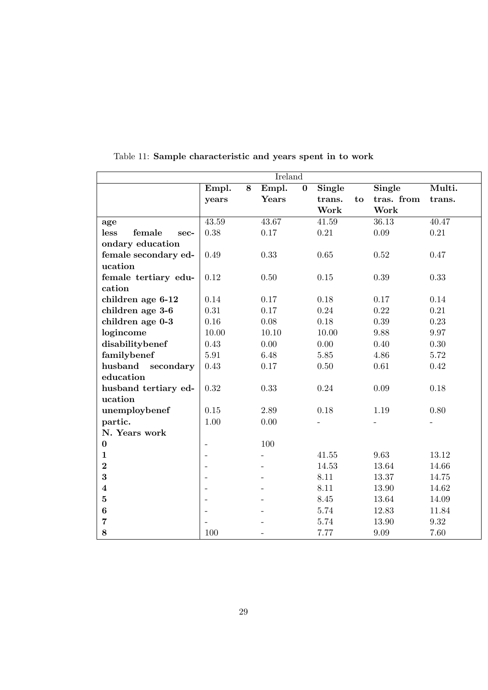|                         |                          |   | Ireland |          |          |    |            |                    |
|-------------------------|--------------------------|---|---------|----------|----------|----|------------|--------------------|
|                         | Empl.                    | 8 | Empl.   | $\bf{0}$ | Single   |    | Single     | Multi.             |
|                         | years                    |   | Years   |          | trans.   | to | tras. from | trans.             |
|                         |                          |   |         |          | Work     |    | Work       |                    |
| age                     | $\overline{43.59}$       |   | 43.67   |          | 41.59    |    | 36.13      | $\overline{40.47}$ |
| female<br>less<br>sec-  | 0.38                     |   | 0.17    |          | 0.21     |    | 0.09       | 0.21               |
| ondary education        |                          |   |         |          |          |    |            |                    |
| female secondary ed-    | 0.49                     |   | 0.33    |          | 0.65     |    | 0.52       | 0.47               |
| ucation                 |                          |   |         |          |          |    |            |                    |
| female tertiary edu-    | 0.12                     |   | 0.50    |          | 0.15     |    | 0.39       | 0.33               |
| cation                  |                          |   |         |          |          |    |            |                    |
| children age 6-12       | 0.14                     |   | 0.17    |          | 0.18     |    | 0.17       | 0.14               |
| children age 3-6        | 0.31                     |   | 0.17    |          | 0.24     |    | 0.22       | 0.21               |
| children age 0-3        | 0.16                     |   | 0.08    |          | 0.18     |    | 0.39       | 0.23               |
| logincome               | 10.00                    |   | 10.10   |          | 10.00    |    | 9.88       | 9.97               |
| disabilitybenef         | 0.43                     |   | 0.00    |          | 0.00     |    | 0.40       | 0.30               |
| familybenef             | 5.91                     |   | 6.48    |          | 5.85     |    | 4.86       | 5.72               |
| husband<br>secondary    | 0.43                     |   | 0.17    |          | 0.50     |    | 0.61       | 0.42               |
| education               |                          |   |         |          |          |    |            |                    |
| husband tertiary ed-    | 0.32                     |   | 0.33    |          | $0.24\,$ |    | 0.09       | 0.18               |
| ucation                 |                          |   |         |          |          |    |            |                    |
| unemploybenef           | 0.15                     |   | 2.89    |          | 0.18     |    | 1.19       | 0.80               |
| partic.                 | 1.00                     |   | 0.00    |          |          |    |            |                    |
| N. Years work           |                          |   |         |          |          |    |            |                    |
| $\bf{0}$                | $\qquad \qquad -$        |   | 100     |          |          |    |            |                    |
| $\mathbf{1}$            | $\overline{\phantom{a}}$ |   |         |          | 41.55    |    | 9.63       | 13.12              |
| $\bf{2}$                | $\blacksquare$           |   |         |          | 14.53    |    | 13.64      | 14.66              |
| 3                       | $\overline{a}$           |   |         |          | 8.11     |    | 13.37      | 14.75              |
| $\overline{\mathbf{4}}$ | $\overline{\phantom{a}}$ |   |         |          | 8.11     |    | 13.90      | 14.62              |
| $\bf{5}$                | $\overline{\phantom{0}}$ |   |         |          | 8.45     |    | 13.64      | 14.09              |
| $\bf{6}$                | $\overline{\phantom{0}}$ |   |         |          | 5.74     |    | 12.83      | 11.84              |
| $\overline{7}$          |                          |   |         |          | 5.74     |    | 13.90      | 9.32               |
| 8                       | 100                      |   |         |          | 7.77     |    | 9.09       | 7.60               |

Table 11: Sample characteristic and years spent in to work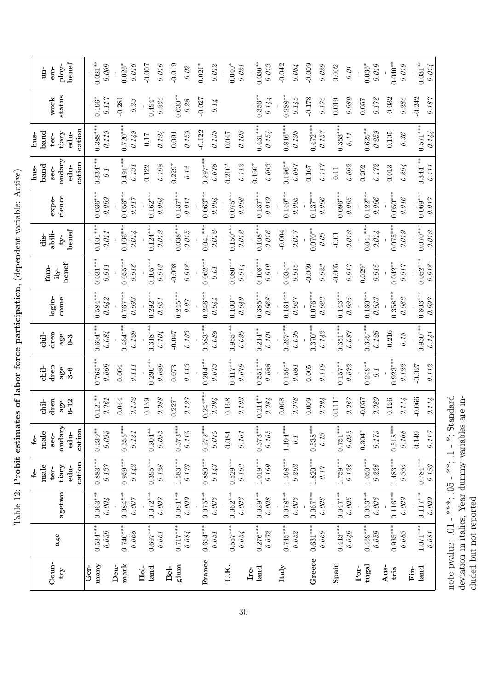Table 12: Probit estimates of labor force participation, (dependent variable: Active) Table 12: Probit estimates of labor force participation, (dependent variable: Active)

|                     |                     |                         | <u>ئ</u>                | <u>ئ</u>                |                     |                      |                         |                        |                      |                     |                     | hus-              | hus-                |                     |                         |
|---------------------|---------------------|-------------------------|-------------------------|-------------------------|---------------------|----------------------|-------------------------|------------------------|----------------------|---------------------|---------------------|-------------------|---------------------|---------------------|-------------------------|
|                     |                     |                         | male                    | male                    | chil-               | chil-                | chil-                   |                        | fam-                 | dis-                |                     | band              | band                |                     | $un-$                   |
| Coun-               |                     |                         | ter-                    | sec-                    | $_{\rm dren}$       | dren                 | $_{\rm dren}$           | login-                 | ily-                 | abili-              | expe-               | sec-              | ter-                | work                | em-                     |
| $\tau$ ry           | age                 | agetwo                  | tiary                   | ondary                  | age                 | age                  | age                     | $_{\rm cone}$          | benef                | $-41$               | rience              | ondary            | tiary               | status              | ploy-                   |
|                     |                     |                         | $edu$ -                 | edu-                    | $6 - 12$            | $3-6$                | $0 - 3$                 |                        |                      | benef               |                     | edu-              | edu-                |                     | benef                   |
|                     |                     |                         | cation                  | cation                  |                     |                      |                         |                        |                      |                     |                     | cation            | cation              |                     |                         |
| Ger-                |                     |                         |                         |                         |                     |                      |                         |                        |                      |                     |                     |                   |                     |                     |                         |
| many                | $0.534***$<br>0.039 | $0.063***$<br>0.004     | $0.883***$<br>0.137     | $0.239***$<br>$0.093\,$ | $0.121***$<br>0.061 | $0.765***$<br>0.069  | $0.604***$<br>0.084     | $0.584***$<br>0.042    | $0.031***$<br>0.011  | $0.101***$<br>0.011 | $0.036***$<br>0.009 | $0.334***$<br>0.1 | $0.388***$<br>0.119 | $0.196*$<br>0.117   | $0.021***$<br>0.009     |
| Den-                |                     |                         |                         |                         |                     |                      |                         |                        |                      |                     |                     |                   |                     |                     |                         |
| mark                | $0.740***$          | $0.084***$              | $0.959***$              | $0.555***$              | 0.044               | 0.004                | $0.464**$               | $0.767***$             | $0.055**$            | $0.106**$           | $0.056***$          | $0.491*$          | $0.720**$           | $-0.281$            | $0.026*$                |
|                     | $0.068\,$           | $0.007\,$               | $0.14\%$                | $0.121\,$               | 0.132               | 0.111                | 0.129                   | 0.093                  | 0.018                | 0.014               | 0.017               | 0.131             | 0.149               | 0.23                | 0.016                   |
| Hol-                |                     |                         |                         |                         | 0.139               |                      |                         |                        |                      |                     |                     | 0.122             | 0.17                |                     | $-0.007$                |
| land                | $0.697***$          | $0.072***$              | $0.395***$              | $0.204***$              |                     | $0.290**$            | $0.318**$               | $0.292***$             | $0.105**$            | $0.124**$           | $0.162***$          |                   |                     | $0.494*$            |                         |
|                     | 0.061               | 0.007                   | $0.128\,$               | 0.095                   | 0.088               | 0.089                | 0.104                   | 0.051                  | 0.013                | 0.012               | 0.004               | 0.108             | 0.124               | 0.265               | 0.016                   |
| gium<br><b>Bel-</b> | $0.717***$          | $0.081***$              | $1.583***$              | $0.373***$              | $0.227*$            | 0.073                | $-0.047$                | $0.245**$              | $-0.008$             | $0.038***$          | $0.137**$           | $0.229*$          | 0.091               | $0.630**$           | $-0.019$                |
|                     | 0.084               | 0.009                   | 0.173                   | 0.119                   | 0.127               | 0.113                | 0.133                   | 0.07                   | 0.018                | 0.015               | 0.011               | $0.12$            | 0.159               | 0.28                | 0.02                    |
|                     |                     |                         |                         |                         |                     |                      |                         |                        |                      |                     |                     |                   | $-0.122$            | $-0.027$            | $0.021*$                |
| France              | $0.654***$          | $0.075***$              | $0.880***$              | $0.272***$              | $0.247***$          | $0.204***$           | $0.583***$              | $0.246***$             | $0.062**$            | $0.041***$          | $0.063**$           | $0.297***$        |                     |                     |                         |
|                     | $0.051\,$           | 0.006                   | $0.143\,$               | 0.079                   | 0.094               | 0.073                | 0.088                   | 0.044                  | 0.01                 | $0.012\,$           | 0.004               | $0.078\,$         | 0.135               | 0.14                | $0.01\mathrm{\AA}$      |
| U.K.                | $0.557***$          | $0.062***$              | $0.529***$              | 0.084                   | 0.168               | $0.417***$           | $0.955***$              | $0.100***$             | $0.080**$            | $0.150***$          | $0.075**$           | $0.210*$          | 0.047               |                     | $0.040*$                |
|                     | 0.054               | 0.006                   | $0.102$                 | 0.101                   | 0.103               | 0.079                | 0.095                   | 0.049                  | 0.014                | 0.012               | 0.008               | 0.112             | 0.103               |                     | $0.021\,$               |
| Ire-                |                     |                         |                         |                         |                     |                      |                         |                        |                      |                     |                     | $0.166*$          |                     |                     |                         |
| land                | $0.276***$<br>0.072 | $0.029***$<br>$0.008\,$ | $1.019***$<br>0.169     | $0.373***$<br>$0.105\,$ | $0.214***$<br>0.084 | $0.551***$<br>0.088  | $0.214***$<br>$0.101\,$ | $0.385***$<br>0.068    | $0.108***$<br>0.019  | $0.108***$<br>0.016 | $0.137***$<br>0.019 | 0.093             | $0.431***$<br>0.154 | $0.356***$<br>0.144 | $0.030***$<br>$0.013\,$ |
|                     |                     |                         |                         |                         |                     |                      |                         |                        |                      |                     |                     |                   |                     |                     |                         |
| Italy               | $0.745***$          | $0.078***$              | $1.598***$              | $1.194***$              | 0.068               | $0.159***$           | $0.267***$              | $0.161***$             | $0.034***$           | $-0.004$            | $0.149***$          | $0.196***$        | $0.816**$           | $0.288**$           | $-0.042$                |
|                     | $0.05\%$            | $0.006\,$               | 0.202                   | 0.1                     | 0.078               | $0.081$              | 0.095                   | $0.027$                | $0.015\,$            | 0.017               | 0.005               | 0.097             | 0.195               | $0.145\,$           | 0.084                   |
| Greece              | $0.631***$          | $0.067***$              | $1.820***$              | $0.538***$              | 0.009               | 0.005                | $0.370**$               | $0.076***$             | $-0.009$             | $0.070**$           | $0.137***$          | 0.167             | $0.472***$          | $-0.178$            | $-0.009$                |
|                     | $0.069$             | $0.008\,$               | $0.17\,$                | $0.13\,$                | 0.094               | $0.119\,$            | 0.142                   | 0.022                  | 0.023                | 0.03                | 0.006               | 0.117             | 0.157               | $0.175\,$           | $0.029\,$               |
| Spain               | $0.443***$          | $0.047***$              | $1.759***$              | $0.751***$              | $0.111*$            | $0.157***$           | $0.351***$              | $0.143***$             | $-0.005$             | $-0.01$             | $0.096**$           | 0.11              | $0.353***$          | 0.019               | 0.002                   |
|                     | $0.049\,$           | $0.005\,$               | 0.126                   | $0.095\,$               | 0.067               | $0.07\%$             | $0.087\,$               | 0.025                  | 0.017                | $0.01\mathrm{\AA}$  | 0.005               | 0.092             | 0.11                | 0.089               | 0.01                    |
| $t$ ugal<br>Por-    | $0.469***$          | $0.053***$              | $1.050***$              | $0.304*$                | $-0.057$            | $0.249**$            | $0.325***$              | $0.160***$             | $0.029*$             | $0.041**$           | $0.122***$          | 0.202             | $0.625***$          | 0.057               | $0.036*$                |
|                     | $0.059\,$           | 0.006                   | 0.226                   | $0.173\,$               | 0.089               | 0.1                  | 0.126                   | 0.033                  | 0.015                | 0.014               | 0.006               | 0.172             | 0.259               | $0.178\,$           | 0.019                   |
| Aus-                | $0.935***$          |                         |                         | $0.518***$              | 0.126               |                      | $-0.216$                |                        |                      |                     | $0.050***$          | 0.013             | $0.105$             | $-0.032$            | $0.040**$               |
| tria                | $0.083\,$           | $0.116***$<br>0.009     | $1.483***$<br>$0.355\,$ | $0.168\,$               | 0.114               | $0.923**$<br>$0.122$ | 0.15                    | $0.358***$<br>$0.08\%$ | $0.017$<br>$0.042**$ | 0.019<br>$0.075**$  | 0.016               | 0.204             | 0.36                | 0.285               | 0.019                   |
| Fin-                |                     |                         |                         |                         |                     |                      |                         |                        |                      |                     |                     |                   |                     |                     |                         |
| land                | $1.071***$          | $0.117***$              | $0.784***$              | 0.149                   | 0.066               | $-0.027$             | $0.930**$               | $0.803***$             | $0.052***$           | $0.070***$          | $0.069***$          | $0.344***$        | $0.571***$          | $-0.242$            | $0.031***$              |
|                     | $0.081\,$           | $0.009\,$               | $0.153\,$               | $0.117$                 | 0.114               | $0.112$              | 0.141                   | 0.097                  | 0.018                | $0.012$             | $0.017$             | 0.111             | 0.144               | 0.187               | 0.014                   |

note p<br/>value: .01 - \*\*\*\*, .05 - \*\*, .1 - \*; Standard deviation in italics, Year dummy variables are innote pvalue:  $.01 -$ \*\*\*,  $.05 -$ \*\*,  $.1 -$ \*; Standard deviation in italics, Year dummy variables are included but not reported cluded but not reported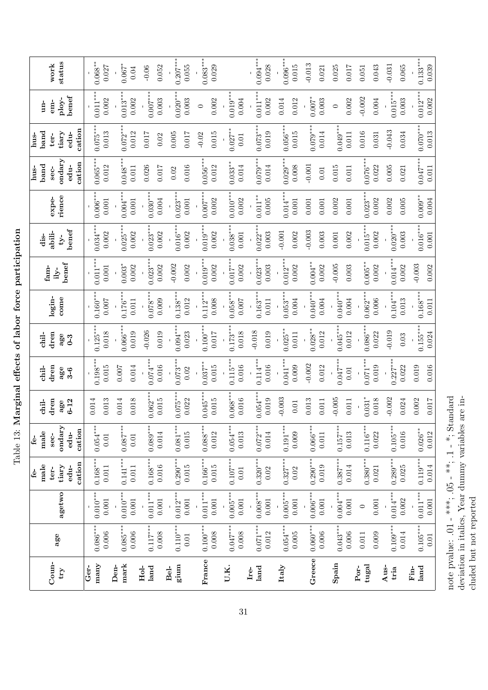Table 13: Marginal effects of labor force participation Table 13: Marginal effects of labor force participation

|            |                     | male<br>$f_{\rm e}$ - | male<br>÷          | chil-      | chil-               | chil-              |                     |                     | dis-                |                    | band<br>hus-        | band<br>hus-        | $\frac{1}{2}$       |                    |
|------------|---------------------|-----------------------|--------------------|------------|---------------------|--------------------|---------------------|---------------------|---------------------|--------------------|---------------------|---------------------|---------------------|--------------------|
|            |                     | ter-                  | sec-               | dren       | dren                | dren               | login-              | fam-                | abili-              | expe-              | sec-                | ter-                | em-                 | work               |
|            | agetwo              | tiary                 | ondary             | age        | age                 | age                | come                | benef<br>$11y-$     | $v-$                | rience             | ondary              | tiary               | ploy-               | status             |
|            |                     | cation<br>edu-        | cation<br>edu-     | $6 - 12$   | $3-6$               | $0 - 3$            |                     |                     | benef               |                    | cation<br>edu-      | cation<br>edu-      | benef               |                    |
|            |                     |                       |                    | 0.014      |                     |                    |                     |                     |                     |                    |                     |                     |                     |                    |
|            | $0.010***$<br>0.001 | $0.168***$<br>0.011   | $0.054***$<br>0.01 | 0.013      | $0.198***$<br>0.015 | $0.125**$<br>0.018 | $0.160***$<br>0.007 | $0.011***$<br>0.001 | $0.034***$<br>0.002 | $0.006**$<br>0.001 | $0.065***$<br>0.012 | $0.075***$<br>0.013 | $0.011***$<br>0.002 | $0.068**$<br>0.027 |
|            |                     |                       |                    |            |                     |                    |                     |                     |                     |                    |                     |                     |                     |                    |
|            | $0.010***$          | $0.141***$            | $0.087***$         | 0.014      | 0.007               | $0.066***$         | $0.176^{**}$        | $0.003*$            | $0.025*$            | $0.004***$         | $0.048*$            | $0.072**$           | $0.013**$           | $0.067*$           |
|            | 0.001               | 0.011                 | $0.01\,$           | 0.018      | 0.014               | 0.019              | 0.011               | 0.002               | 0.002               | 0.001              | 0.011               | 0.012               | 0.002               | 0.04               |
|            |                     |                       |                    |            |                     | 0.026              |                     |                     |                     |                    | 0.026               | 0.017               |                     | $-0.06$            |
| $0.117***$ | $0.011***$          | $0.168***$            | $0.089***$         | $0.062**$  | $0.074***$          |                    | $0.078**$           | $0.023**$           | $0.023***$          | $0.030***$         |                     |                     | $0.007$ *           |                    |
|            | 0.001               | 0.016                 | 0.014              | 0.015      | 0.016               | 0.019              | 0.009               | 0.002               | 0.002               | 0.004              | 0.017               | 0.02                | 0.003               | 0.052              |
|            |                     |                       |                    |            |                     |                    |                     | $-0.002$            |                     |                    | 0.02                | $0.005$             |                     |                    |
| $0.110***$ | $0.012***$          | $0.290***$            | $0.081***$         | $0.075***$ | $0.073**$           | $0.094**$          | $0.138**$           |                     | $0.016^{**}$        | $0.023**$          |                     |                     | $0.020**$           | $0.207**$          |
|            | 0.001               | 0.015                 | 0.015              | 0.022      | 0.02                | 0.023              | 0.012               | 0.002               | 0.002               | 0.001              | 0.016               | 0.017               | 0.003               | 0.055              |
| $0.100***$ | $0.011***$          | $0.166***$            | $0.088***$         | $0.045**$  | $0.037***$          | $0.100**$          | $0.112**$           | $0.019***$          | $0.019***$          | $0.007$ *          | $0.056**$           | $-0.02$             | $\circ$             | $0.083***$         |
|            | 0.001               | 0.015                 | 0.012              | 0.015      | 0.015               | 0.017              | 0.008               | 0.002               | 0.002               | 0.002              | 0.012               | 0.015               | 0.002               | 0.029              |
|            |                     |                       |                    |            |                     |                    |                     |                     |                     |                    |                     |                     |                     |                    |
| $0.047***$ | $0.005***$          | $0.107***$            | $0.054***$         | $0.068**$  | $0.115**$           | $0.173**$          | $0.058**$           | $0.017$ *           | $0.038**$           | $0.010**$          | $0.033***$          | $0.027***$          | $0.019***$          |                    |
|            | 0.001               | $0.01\,$              | 0.013              | 0.016      | 0.016               | 0.018              | 0.007               | 0.002               | 0.001               | 0.002              | 0.014               | $\Xi$               | 0.004               |                    |
| $0.071***$ | $0.008***$          | $0.320***$            | $0.072***$         | $0.054***$ | $0.114***$          | $-0.018$           | $0.163***$          | $0.023**$           | $0.022**$           | $0.011***$         | $0.079**$           | $0.073**$           | $0.011**$           | $0.094***$         |
|            | 0.001               | $0.02\,$              | 0.014              | 0.019      | 0.016               | $0.019\,$          | 0.011               | 0.003               | 0.003               | 0.005              | 0.014               | 0.019               | 0.002               | 0.028              |
|            |                     |                       |                    |            |                     |                    |                     |                     |                     |                    |                     |                     |                     |                    |
| $0.054***$ | $0.005***$          | $0.327***$            | $0.191***$         | 0.003      | $0.041**$           | $0.025**$          | $0.053**$           | $0.012**$           | $-0.001$            | $0.014**$          | $0.029**$           | $0.056**$           | 0.014               | $0.096**$          |
|            | 0.001               | 0.02                  | 0.009              | 0.01       | 0.009               | $0.011\,$          | 0.004               | 0.002               | 0.002               | 0.001              | 0.008               | 0.015               | 0.012               | 0.015              |
| $0.060***$ | $0.006***$          | $0.290***$            | $0.066***$         | 0.013      | $-0.002$            | $0.028**$          | $0.040**$           | $0.004***$          | $-0.003$            | 0.001              | $-0.001$            | $0.079**$           | $0.007*$            | $-0.013$           |
|            | 0.001               | 0.019                 | 0.011              | 0.011      | 0.012               | 0.012              | 0.004               | 0.002               | 0.003               | 0.001              | 0.01                | 0.014               | 0.003               | 0.021              |
| $0.043***$ | $0.004***$          | $0.387***$            | $0.157***$         | $-0.005$   | $0.047*$            | $0.045**$          | $0.040*$            | $-0.005$            | 0.001               | 0.002              | 0.015               | $0.049**$           | $\circ$             | 0.025              |
|            | 0.001               | 0.014                 | 0.013              | 0.011      | 0.01                | 0.012              | 0.004               | 0.003               | 0.002               | 0.001              | 0.011               | 0.011               | 0.002               | $0.017$            |
|            | $\circ$             |                       |                    |            |                     |                    |                     |                     |                     |                    |                     | 0.016               | $-0.002$            | 0.051              |
|            |                     | $0.380***$            | $0.116***$         | $0.031*$   | $0.071**$           | $0.086***$         | $0.062**$           | $0.005**$           | $0.015**$           | $0.023**$          | $0.076**$           |                     |                     |                    |
|            | $0.001\,$           | 0.021                 | 0.022              | 0.018      | 0.019               | 0.022              | 0.006               | 0.002               | 0.002               | 0.002              | 0.022               | 0.031               | 0.004               | 0.043              |
| $0.109***$ | $0.014***$          | $0.289***$            | $0.105***$         | 0.002      | $0.227***$          | $-0.019$           | $0.104***$          | $0.014***$          | $0.020***$          | 0.002              | 0.005               | $-0.043$            | $0.015$ *           | $-0.031$           |
|            | 0.002               | 0.025                 | 0.016              | 0.024      | 0.022               | 0.03               | $\!0.013$           | 0.002               | 0.003               | 0.005              | 0.021               | 0.034               | 0.003               | 0.065              |
| $0.105***$ |                     |                       |                    | 0.002      | 0.019               |                    |                     | $-0.003$            |                     |                    |                     |                     |                     |                    |
|            | $0.011***$          | $0.119***$            | $0.026**$          |            |                     | $0.155***$         | $0.168**$           |                     | $0.016***$          | $0.009**$          | $0.047***$          | $0.070**$           | $0.012**$           | $0.133***$         |
|            | $0.001\,$           | 0.014                 | 0.012              | 0.017      | 0.016               | 0.024              | 0.011               | 0.002               | 0.001               | 0.004              | 0.011               | 0.013               | 0.002               | 0.039              |

note p<br/>value: .01 - \*\*\*\*; .05 - \*\*; .1 - \*; Standard deviation in italics, Year dummy variables are innote pvalue:  $.01 -$ \*\*\*,  $.05 -$ \*\*,  $.1 -$ \*; Standard deviation in italics, Year dummy variables are included but not reported cluded but not reported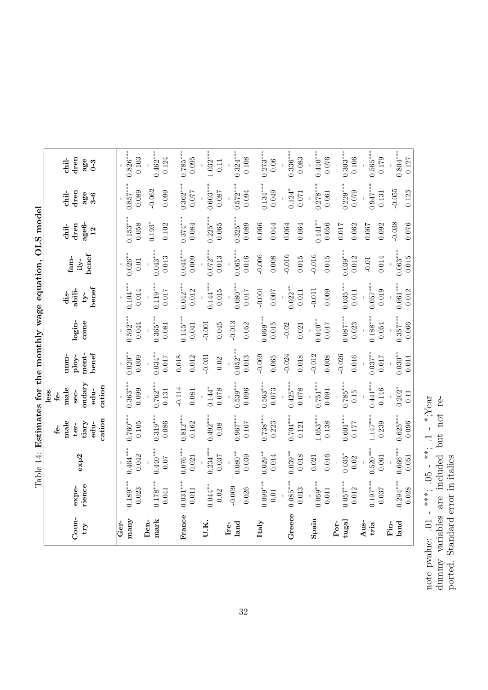| くくく                                                                                                                                                                                                                                        |
|--------------------------------------------------------------------------------------------------------------------------------------------------------------------------------------------------------------------------------------------|
| くしく<br>į                                                                                                                                                                                                                                   |
| $+0.7$ and $+0.7$ and $-0.7$ and $-0.7$ and $-0.7$ and $-0.7$ and $-0.7$ and $-0.7$ and $-0.7$ and $-0.7$ and $-0.7$ and $-0.7$ and $-0.7$ and $-0.7$ and $-0.7$ and $-0.7$ and $-0.7$ and $-0.7$ and $-0.7$ and $-0.7$ and<br>ı<br>ı<br>Í |
|                                                                                                                                                                                                                                            |
| $\mathbf{I}$<br>ı<br>l                                                                                                                                                                                                                     |
| ֧֧֧ׅ֧ׅ֧֧ׅ֧ׅ֧֧֧֧ׅ֧֧֛֧֛֚֚֚֚֚֚֚֚֚֚֚֚֚֚֚֚֚֚֚֚֚֚֚֓֝֓֜֓֜֓֝֓֜֜֜֜֜֜֜                                                                                                                                                                               |
|                                                                                                                                                                                                                                            |
| ֖֖֖֖֖֖֖֧֦֧֢ׅ֖֖֧֧֪֪֪ׅ֚֚֚֚֚֚֚֚֚֚֚֚֚֚֚֚֚֚֚֡֬֝֓֝֓֞֡֓֓                                                                                                                                                                                          |
|                                                                                                                                                                                                                                            |
| l<br>י<br>                                                                                                                                                                                                                                 |

| Coun-<br>$\mathbf{f}$ | rience<br>expe-              | exp2                        | cation<br>male<br>tiary<br>edu-<br>ter-<br>ස් | yudary<br>cation<br>male<br>edu-<br>sec-<br>less<br><u>لئ</u> | benef<br>ment-<br>ploy-<br>$_{\rm{mm}}$ | login-<br>come               | be <sup>f</sup><br>abili-<br>dis-<br>$-y-$ | benef<br>fam-<br>$ily-$     | age <sub>6</sub> -<br>dren<br>chil-<br>12 | dren<br>chil-<br>age<br>$3-6$ | dren<br>chil-<br>age<br>$0 - 3$ |
|-----------------------|------------------------------|-----------------------------|-----------------------------------------------|---------------------------------------------------------------|-----------------------------------------|------------------------------|--------------------------------------------|-----------------------------|-------------------------------------------|-------------------------------|---------------------------------|
| many<br>Ger-          | $0.189***$                   | $0.464***$                  | $0.760***$                                    | $0.363***$                                                    | $0.020**$                               | $0.502***$                   | $0.104***$                                 | $0.026***$                  | $0.153***$                                | $0.857***$                    | $0.826***$                      |
| mark<br>Den-          | $0.178***$<br>0.023<br>0.041 | $0.440***$<br>0.042<br>0.07 | $0.319***$<br>0.086<br>0.105                  | $0.762***$<br>0.099<br>0.131                                  | $0.034***$<br>0.009<br>0.017            | $0.365***$<br>0.044<br>0.081 | $0.119***$<br>0.014<br>0.017               | $0.043***$<br>0.013<br>0.01 | $0.193*$<br>0.058<br>0.102                | $-0.062$<br>0.089<br>0.099    | $0.462***$<br>0.103<br>0.124    |
| France                | $0.031***$                   | $0.076***$                  | $0.812***$                                    | $-0.114$                                                      | 0.018                                   | $0.145***$                   | $0.042***$                                 | $0.044***$                  | $0.374***$                                | $0.362***$                    | $0.785***$                      |
|                       | 0.011                        | 0.021                       | 0.162                                         | $\!0.081$                                                     | 0.012                                   | 0.041                        | 0.012                                      | 0.009                       | 0.084                                     | 770.0                         | 0.095                           |
| U.K.                  | $0.044**$                    | $0.234***$                  | $0.492***$                                    | $0.144*$                                                      | $-0.031$                                | $-0.001$                     | $0.144***$                                 | $0.072***$                  | $0.225***$                                | $0.603***$                    | $1.032***$                      |
|                       | 0.02                         | 0.037                       | 0.08                                          | 0.078                                                         | 0.02                                    | 0.045                        | 0.015                                      | 0.013                       | 0.065                                     | 0.087                         | 0.11                            |
| land                  | $-0.009$                     | $0.080**$                   | $0.967***$                                    | $0.539***$                                                    | $0.052***$                              | $-0.013$                     | $0.080***$                                 | $0.065***$                  | $0.325***$                                | $0.572***$                    | $0.324***$                      |
| Ire-                  | 0.026                        | 0.039                       | 0.167                                         | 0.096                                                         | 0.013                                   | 0.052                        | 0.017                                      | 0.016                       | 0.089                                     | 0.094                         | 0.108                           |
| Italy                 | $0.099***$                   | $0.029**$                   | $0.738***$                                    | $0.563***$                                                    | $-0.069$                                | $0.069***$                   | $-0.001$                                   | $-0.006$                    | 0.066                                     | $0.134***$                    | $0.273***$                      |
|                       | 0.01                         | 0.014                       | 0.223                                         | 0.073                                                         | 0.065                                   | 0.015                        | 0.007                                      | 0.008                       | 0.044                                     | 0.049                         | 0.06                            |
| Greece                | $0.085***$                   | $0.039***$                  | $0.704***$                                    | $0.425***$                                                    | $-0.024$                                | $-0.02$                      | $0.022**$                                  | $-0.016$                    | 0.064                                     | $0.124*$                      | $0.336***$                      |
|                       | 0.013                        | 0.018                       | 0.121                                         | 0.078                                                         | 0.018                                   | 0.021                        | 0.011                                      | 0.015                       | 0.064                                     | 0.071                         | 0.083                           |
| Spain                 | $0.069***$                   | 0.016                       | $1.053***$                                    | $0.751***$                                                    | $-0.012$                                | $0.040**$                    | $-0.011$                                   | $-0.016$                    | $0.141***$                                | $0.278***$                    | $0.440***$                      |
|                       | 0.011                        | 0.021                       | 0.138                                         | 0.091                                                         | 0.008                                   | 0.017                        | 0.009                                      | 0.015                       | 0.056                                     | 0.061                         | 0.076                           |
| $t$ ugal              | $0.057***$                   | $0.035*$                    | $0.601***$                                    | $0.785***$                                                    | $-0.026$                                | $0.087***$                   | $0.035***$                                 | $0.039***$                  | $0.017$                                   | $0.229***$                    | $0.303***$                      |
| Por-                  | 0.012                        | 0.02                        | 0.177                                         | 0.15                                                          | 0.016                                   | 0.023                        | 0.011                                      | 0.012                       | 0.062                                     | 0.079                         | 0.106                           |
| Aus-                  | $0.197***$                   | $0.520***$                  | $1.147***$                                    | $0.441***$                                                    | $0.037***$                              | $0.188***$                   | $0.057***$                                 | 0.014                       | 0.092                                     | $0.947***$                    | $0.565***$                      |
| tria                  | 0.037                        | 0.061                       | 0.239                                         | 0.146                                                         | 710.0                                   | 0.054                        | 0.019                                      | $-0.01$                     | 1900                                      | 0.131                         | 0.179                           |
| land                  | $0.294***$                   | $0.666***$                  | $0.625***$                                    | $0.202*$                                                      | $0.030**$                               | $0.357***$                   | $0.061***$                                 | $0.063***$                  | $-0.038$                                  | $-0.055$                      | $0.804***$                      |
| $_{\text{Fin}}$       | 0.028                        | 0.051                       | 0.096                                         | 0.11                                                          | 0.014                                   | 0.066                        | 0.012                                      | 0.015                       | 0.076                                     | 0.123                         | 0.127                           |

note pvalue: .01 - \*\*\*; .05 - \*\*; .1 - \*;Year<br>dummy variables are included but not re-<br>ported. Standard error in italies note pvalue:  $.01 -$  \*\*\*;  $.05 -$  \*\*;  $.1 -$  \*; Year dummy variables are included but not reported. Standard error in italics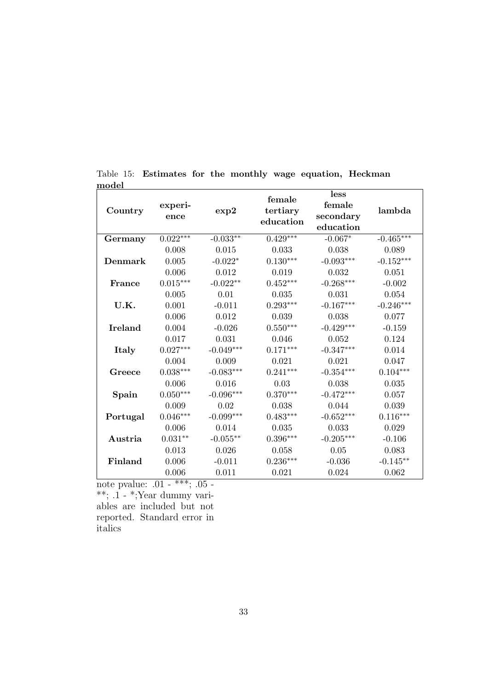| Country        | experi-<br>ence | exp2        | female<br>tertiary<br>education | less<br>female<br>secondary<br>education | lambda      |
|----------------|-----------------|-------------|---------------------------------|------------------------------------------|-------------|
| Germany        | $0.022***$      | $-0.033**$  | $0.429***$                      | $-0.067*$                                | $-0.465***$ |
|                | 0.008           | 0.015       | 0.033                           | 0.038                                    | 0.089       |
| Denmark        | 0.005           | $-0.022*$   | $0.130***$                      | $-0.093***$                              | $-0.152***$ |
|                | 0.006           | 0.012       | 0.019                           | 0.032                                    | 0.051       |
| France         | $0.015***$      | $-0.022**$  | $0.452***$                      | $-0.268***$                              | $-0.002$    |
|                | 0.005           | 0.01        | 0.035                           | 0.031                                    | 0.054       |
| U.K.           | 0.001           | $-0.011$    | $0.293***$                      | $-0.167***$                              | $-0.246***$ |
|                | 0.006           | 0.012       | 0.039                           | 0.038                                    | 0.077       |
| <b>Ireland</b> | 0.004           | $-0.026$    | $0.550***$                      | $-0.429***$                              | $-0.159$    |
|                | 0.017           | 0.031       | 0.046                           | 0.052                                    | 0.124       |
| Italy          | $0.027***$      | $-0.049***$ | $0.171***$                      | $-0.347***$                              | 0.014       |
|                | 0.004           | 0.009       | 0.021                           | 0.021                                    | 0.047       |
| Greece         | $0.038***$      | $-0.083***$ | $0.241***$                      | $-0.354***$                              | $0.104***$  |
|                | 0.006           | 0.016       | 0.03                            | 0.038                                    | 0.035       |
| Spain          | $0.050***$      | $-0.096***$ | $0.370***$                      | $-0.472***$                              | 0.057       |
|                | 0.009           | 0.02        | 0.038                           | 0.044                                    | 0.039       |
| Portugal       | $0.046***$      | $-0.099***$ | $0.483***$                      | $-0.652***$                              | $0.116***$  |
|                | 0.006           | 0.014       | 0.035                           | 0.033                                    | 0.029       |
| Austria        | $0.031**$       | $-0.055***$ | $0.396***$                      | $-0.205***$                              | $-0.106$    |
|                | 0.013           | 0.026       | 0.058                           | 0.05                                     | 0.083       |
| Finland        | 0.006           | $-0.011$    | $0.236***$                      | $-0.036$                                 | $-0.145**$  |
|                | 0.006           | 0.011       | 0.021                           | 0.024                                    | 0.062       |

Table 15: Estimates for the monthly wage equation, Heckman model

note pvalue: .01 - \*\*\*; .05 -

\*\*; .1 - \*;Year dummy variables are included but not reported. Standard error in italics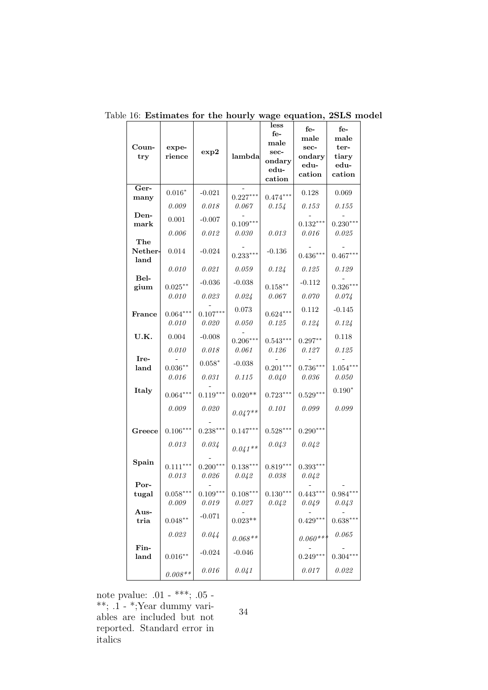| Coun-<br>try    | expe-<br>rience         | exp2                | lambda              | less<br>$f_{e-}$<br>male<br>sec-<br>ondary<br>edu-<br>cation | $f_{e-}$<br>male<br>sec-<br>ondary<br>edu-<br>cation | $f_{e-}$<br>male<br>ter-<br>tiary<br>edu-<br>cation |
|-----------------|-------------------------|---------------------|---------------------|--------------------------------------------------------------|------------------------------------------------------|-----------------------------------------------------|
| Ger-            | $0.016*$                | $-0.021$            | $0.227***$          | $0.474***$                                                   | 0.128                                                | 0.069                                               |
| many            | 0.009                   | 0.018               | 0.067               | 0.154                                                        | 0.153                                                | 0.155                                               |
| Den-            | $0.001\,$               | $-0.007$            |                     |                                                              |                                                      |                                                     |
| mark            | 0.006                   | 0.012               | $0.109***$<br>0.030 | 0.013                                                        | $0.132***$<br>0.016                                  | $0.230***$<br>0.025                                 |
| The             |                         |                     |                     |                                                              |                                                      |                                                     |
| Nether-<br>land | 0.014                   | $-0.024$            | $0.233***$          | $-0.136$                                                     | $0.436***$                                           | $0.467***$                                          |
|                 | 0.010                   | 0.021               | 0.059               | 0.124                                                        | 0.125                                                | 0.129                                               |
| Bel-            | $0.025***$              | $-0.036$            | $-0.038$            | $0.158***$                                                   | $-0.112$                                             | $0.326***$                                          |
| gium            | 0.010                   | 0.023               | 0.024               | 0.067                                                        | 0.070                                                | 0.074                                               |
|                 |                         |                     | 0.073               |                                                              | 0.112                                                | $-0.145$                                            |
| France          | $0.064***$<br>0.010     | $0.107***$<br>0.020 | 0.050               | $0.624***$<br>0.125                                          | 0.124                                                | 0.124                                               |
| U.K.            | 0.004                   | $-0.008$            |                     |                                                              |                                                      | 0.118                                               |
|                 | 0.010                   | 0.018               | $0.206***$<br>0.061 | $0.543***$<br>0.126                                          | $0.297**$<br>0.127                                   | $0.125\,$                                           |
| Ire-            |                         | $0.058*$            | $-0.038$            |                                                              |                                                      |                                                     |
| land            | $0.036***$<br>0.016     | $0.031\,$           | 0.115               | $0.201***$<br>0.040                                          | $0.736***$<br>0.036                                  | $1.054***$<br>0.050                                 |
| Italy           |                         |                     |                     |                                                              |                                                      | $0.190^{\ast}$                                      |
|                 | $0.064***$              | $0.119***$          | $0.020**$           | $0.723***$                                                   | $0.529***$                                           |                                                     |
|                 | 0.009                   | 0.020               | $0.047**$           | 0.101                                                        | 0.099                                                | 0.099                                               |
| Greece          | $0.106***$<br>$0.013\,$ | $0.238***$<br>0.034 | $0.147***$          | $0.528***$<br>0.043                                          | $0.290***$<br>0.042                                  |                                                     |
|                 |                         |                     | $0.041**$           |                                                              |                                                      |                                                     |
| Spain           | $0.111***$<br>0.013     | $0.200***$<br>0.026 | $0.138***$<br>0.042 | $0.819***$<br>0.038                                          | $0.393***$<br>0.042                                  |                                                     |
| Por-            |                         |                     |                     |                                                              |                                                      |                                                     |
| tugal           | $0.058***$<br>0.009     | $0.109***$<br>0.019 | $0.108***$<br>0.027 | $0.130***$<br>0.042                                          | $0.443***$<br>0.049                                  | $0.984***$<br>0.043                                 |
| Aus-<br>tria    | $0.048^{\ast\ast}$      | $-0.071$            | $0.023**$           |                                                              | $0.429***$                                           | $0.638***$                                          |
|                 | 0.023                   | 0.044               | $0.068**$           |                                                              | $0.060***$                                           | $0.065\,$                                           |
| Fin-<br>land    | $0.016^{\ast\ast}$      | $-0.024$            | $-0.046$            |                                                              | $0.249***$                                           | $0.304***$                                          |
|                 | $0.008**$               | 0.016               | 0.041               |                                                              | 0.017                                                | $0.022\,$                                           |

Table 16: Estimates for the hourly wage equation, 2SLS model

note pvalue: .01 - \*\*\*; .05 - \*\*; .1 - \*;Year dummy variables are included but not reported. Standard error in italics